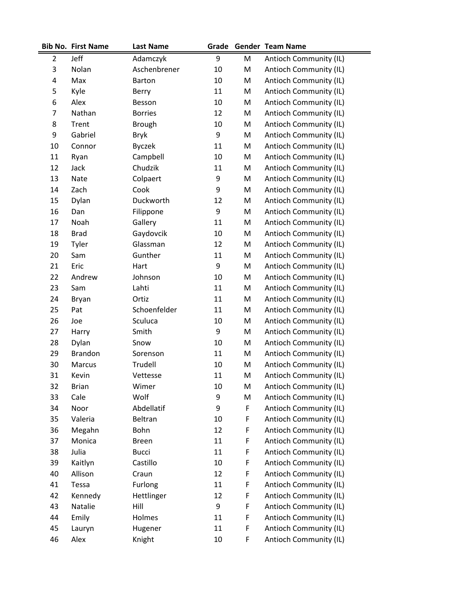|                | <b>Bib No. First Name</b> | <b>Last Name</b> |        |   | Grade Gender Team Name        |
|----------------|---------------------------|------------------|--------|---|-------------------------------|
| $\overline{2}$ | Jeff                      | Adamczyk         | 9      | M | Antioch Community (IL)        |
| 3              | Nolan                     | Aschenbrener     | 10     | M | <b>Antioch Community (IL)</b> |
| 4              | Max                       | <b>Barton</b>    | 10     | M | Antioch Community (IL)        |
| 5              | Kyle                      | Berry            | 11     | M | Antioch Community (IL)        |
| 6              | Alex                      | Besson           | 10     | M | Antioch Community (IL)        |
| 7              | Nathan                    | <b>Borries</b>   | 12     | M | Antioch Community (IL)        |
| 8              | Trent                     | <b>Brough</b>    | 10     | M | Antioch Community (IL)        |
| 9              | Gabriel                   | <b>Bryk</b>      | 9      | M | Antioch Community (IL)        |
| 10             | Connor                    | <b>Byczek</b>    | 11     | M | Antioch Community (IL)        |
| 11             | Ryan                      | Campbell         | 10     | M | Antioch Community (IL)        |
| 12             | Jack                      | Chudzik          | 11     | M | Antioch Community (IL)        |
| 13             | Nate                      | Colpaert         | 9      | M | Antioch Community (IL)        |
| 14             | Zach                      | Cook             | 9      | M | Antioch Community (IL)        |
| 15             | Dylan                     | Duckworth        | 12     | M | Antioch Community (IL)        |
| 16             | Dan                       | Filippone        | 9      | M | Antioch Community (IL)        |
| 17             | Noah                      | Gallery          | 11     | M | Antioch Community (IL)        |
| 18             | <b>Brad</b>               | Gaydovcik        | 10     | M | Antioch Community (IL)        |
| 19             | Tyler                     | Glassman         | 12     | M | Antioch Community (IL)        |
| 20             | Sam                       | Gunther          | 11     | M | Antioch Community (IL)        |
| 21             | Eric                      | Hart             | 9      | M | Antioch Community (IL)        |
| 22             | Andrew                    | Johnson          | 10     | M | Antioch Community (IL)        |
| 23             | Sam                       | Lahti            | 11     | M | Antioch Community (IL)        |
| 24             | <b>Bryan</b>              | Ortiz            | 11     | M | Antioch Community (IL)        |
| 25             | Pat                       | Schoenfelder     | 11     | M | Antioch Community (IL)        |
| 26             | Joe                       | Sculuca          | 10     | M | Antioch Community (IL)        |
| 27             | Harry                     | Smith            | 9      | M | Antioch Community (IL)        |
| 28             | Dylan                     | Snow             | 10     | M | Antioch Community (IL)        |
| 29             | <b>Brandon</b>            | Sorenson         | 11     | M | Antioch Community (IL)        |
| 30             | Marcus                    | Trudell          | 10     | M | Antioch Community (IL)        |
| 31             | Kevin                     | Vettesse         | 11     | M | Antioch Community (IL)        |
| 32             | <b>Brian</b>              | Wimer            | 10     | M | Antioch Community (IL)        |
| 33             | Cale                      | Wolf             | 9      | M | Antioch Community (IL)        |
| 34             | Noor                      | Abdellatif       | 9      | F | Antioch Community (IL)        |
| 35             | Valeria                   | Beltran          | 10     | F | Antioch Community (IL)        |
| 36             | Megahn                    | Bohn             | 12     | F | Antioch Community (IL)        |
| 37             | Monica                    | <b>Breen</b>     | 11     | F | Antioch Community (IL)        |
| 38             | Julia                     | <b>Bucci</b>     | 11     | F | Antioch Community (IL)        |
| 39             | Kaitlyn                   | Castillo         | 10     | F | Antioch Community (IL)        |
| 40             | Allison                   | Craun            | 12     | F | Antioch Community (IL)        |
| 41             | Tessa                     | Furlong          | 11     | F | Antioch Community (IL)        |
| 42             | Kennedy                   | Hettlinger       | 12     | F | Antioch Community (IL)        |
| 43             | Natalie                   | Hill             | 9      | F | Antioch Community (IL)        |
| 44             | Emily                     | Holmes           | 11     | F | Antioch Community (IL)        |
| 45             | Lauryn                    | Hugener          | 11     | F | Antioch Community (IL)        |
| 46             | Alex                      | Knight           | $10\,$ | F | Antioch Community (IL)        |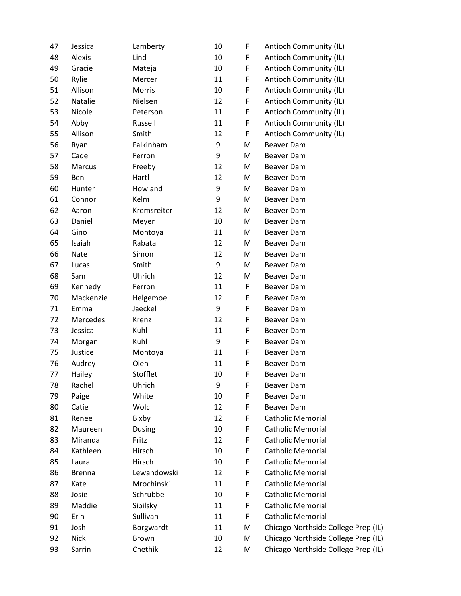| 47 | Jessica       | Lamberty      | 10 | F | Antioch Community (IL)              |
|----|---------------|---------------|----|---|-------------------------------------|
| 48 | Alexis        | Lind          | 10 | F | Antioch Community (IL)              |
| 49 | Gracie        | Mateja        | 10 | F | Antioch Community (IL)              |
| 50 | Rylie         | Mercer        | 11 | F | Antioch Community (IL)              |
| 51 | Allison       | Morris        | 10 | F | Antioch Community (IL)              |
| 52 | Natalie       | Nielsen       | 12 | F | Antioch Community (IL)              |
| 53 | Nicole        | Peterson      | 11 | F | Antioch Community (IL)              |
| 54 | Abby          | Russell       | 11 | F | Antioch Community (IL)              |
| 55 | Allison       | Smith         | 12 | F | Antioch Community (IL)              |
| 56 | Ryan          | Falkinham     | 9  | M | Beaver Dam                          |
| 57 | Cade          | Ferron        | 9  | M | Beaver Dam                          |
| 58 | Marcus        | Freeby        | 12 | M | Beaver Dam                          |
| 59 | Ben           | Hartl         | 12 | M | Beaver Dam                          |
| 60 | Hunter        | Howland       | 9  | M | Beaver Dam                          |
| 61 | Connor        | Kelm          | 9  | M | <b>Beaver Dam</b>                   |
| 62 | Aaron         | Kremsreiter   | 12 | M | Beaver Dam                          |
| 63 | Daniel        | Meyer         | 10 | M | Beaver Dam                          |
| 64 | Gino          | Montoya       | 11 | M | Beaver Dam                          |
| 65 | Isaiah        | Rabata        | 12 | M | Beaver Dam                          |
| 66 | Nate          | Simon         | 12 | M | Beaver Dam                          |
| 67 | Lucas         | Smith         | 9  | M | Beaver Dam                          |
| 68 | Sam           | Uhrich        | 12 | M | Beaver Dam                          |
| 69 | Kennedy       | Ferron        | 11 | F | Beaver Dam                          |
| 70 | Mackenzie     | Helgemoe      | 12 | F | Beaver Dam                          |
| 71 | Emma          | Jaeckel       | 9  | F | Beaver Dam                          |
| 72 | Mercedes      | Krenz         | 12 | F | Beaver Dam                          |
| 73 | Jessica       | Kuhl          | 11 | F | Beaver Dam                          |
| 74 | Morgan        | Kuhl          | 9  | F | Beaver Dam                          |
| 75 | Justice       | Montoya       | 11 | F | Beaver Dam                          |
| 76 | Audrey        | Oien          | 11 | F | <b>Beaver Dam</b>                   |
| 77 | Hailey        | Stofflet      | 10 | F | Beaver Dam                          |
| 78 | Rachel        | Uhrich        | 9  | F | Beaver Dam                          |
| 79 | Paige         | White         | 10 | F | Beaver Dam                          |
| 80 | Catie         | Wolc          | 12 | F | Beaver Dam                          |
| 81 | Renee         | Bixby         | 12 | F | <b>Catholic Memorial</b>            |
| 82 | Maureen       | <b>Dusing</b> | 10 | F | <b>Catholic Memorial</b>            |
| 83 | Miranda       | Fritz         | 12 | F | <b>Catholic Memorial</b>            |
| 84 | Kathleen      | Hirsch        | 10 | F | <b>Catholic Memorial</b>            |
| 85 | Laura         | Hirsch        | 10 | F | <b>Catholic Memorial</b>            |
| 86 | <b>Brenna</b> | Lewandowski   | 12 | F | <b>Catholic Memorial</b>            |
| 87 | Kate          | Mrochinski    | 11 | F | <b>Catholic Memorial</b>            |
| 88 | Josie         | Schrubbe      | 10 | F | <b>Catholic Memorial</b>            |
| 89 | Maddie        | Sibilsky      | 11 | F | <b>Catholic Memorial</b>            |
| 90 | Erin          | Sullivan      | 11 | F | <b>Catholic Memorial</b>            |
| 91 | Josh          | Borgwardt     | 11 | M | Chicago Northside College Prep (IL) |
| 92 | <b>Nick</b>   | Brown         | 10 | M | Chicago Northside College Prep (IL) |
| 93 | Sarrin        | Chethik       | 12 | M | Chicago Northside College Prep (IL) |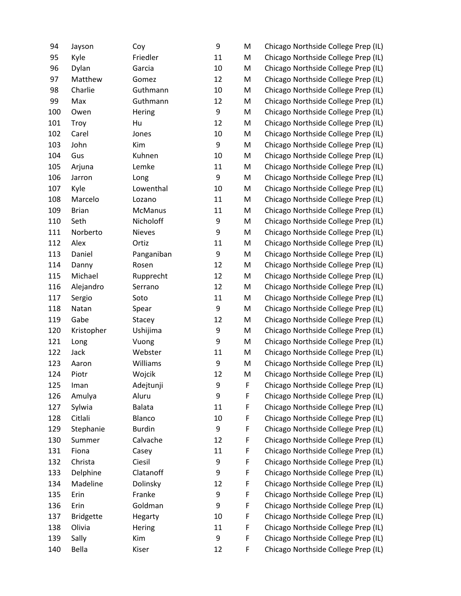| 94  | Jayson           | Coy           | 9  | M | Chicago Northside College Prep (IL) |
|-----|------------------|---------------|----|---|-------------------------------------|
| 95  | Kyle             | Friedler      | 11 | M | Chicago Northside College Prep (IL) |
| 96  | Dylan            | Garcia        | 10 | M | Chicago Northside College Prep (IL) |
| 97  | Matthew          | Gomez         | 12 | M | Chicago Northside College Prep (IL) |
| 98  | Charlie          | Guthmann      | 10 | M | Chicago Northside College Prep (IL) |
| 99  | Max              | Guthmann      | 12 | M | Chicago Northside College Prep (IL) |
| 100 | Owen             | Hering        | 9  | M | Chicago Northside College Prep (IL) |
| 101 | Troy             | Hu            | 12 | M | Chicago Northside College Prep (IL) |
| 102 | Carel            | Jones         | 10 | M | Chicago Northside College Prep (IL) |
| 103 | John             | Kim           | 9  | M | Chicago Northside College Prep (IL) |
| 104 | Gus              | Kuhnen        | 10 | M | Chicago Northside College Prep (IL) |
| 105 | Arjuna           | Lemke         | 11 | M | Chicago Northside College Prep (IL) |
| 106 | Jarron           | Long          | 9  | M | Chicago Northside College Prep (IL) |
| 107 | Kyle             | Lowenthal     | 10 | M | Chicago Northside College Prep (IL) |
| 108 | Marcelo          | Lozano        | 11 | M | Chicago Northside College Prep (IL) |
| 109 | <b>Brian</b>     | McManus       | 11 | M | Chicago Northside College Prep (IL) |
| 110 | Seth             | Nicholoff     | 9  | M | Chicago Northside College Prep (IL) |
| 111 | Norberto         | <b>Nieves</b> | 9  | M | Chicago Northside College Prep (IL) |
| 112 | Alex             | Ortiz         | 11 | M | Chicago Northside College Prep (IL) |
| 113 | Daniel           | Panganiban    | 9  | M | Chicago Northside College Prep (IL) |
| 114 | Danny            | Rosen         | 12 | M | Chicago Northside College Prep (IL) |
| 115 | Michael          | Rupprecht     | 12 | M | Chicago Northside College Prep (IL) |
| 116 | Alejandro        | Serrano       | 12 | M | Chicago Northside College Prep (IL) |
| 117 | Sergio           | Soto          | 11 | M | Chicago Northside College Prep (IL) |
| 118 | Natan            | Spear         | 9  | M | Chicago Northside College Prep (IL) |
| 119 | Gabe             | Stacey        | 12 | M | Chicago Northside College Prep (IL) |
| 120 | Kristopher       | Ushijima      | 9  | M | Chicago Northside College Prep (IL) |
| 121 | Long             | Vuong         | 9  | M | Chicago Northside College Prep (IL) |
| 122 | Jack             | Webster       | 11 | M | Chicago Northside College Prep (IL) |
| 123 | Aaron            | Williams      | 9  | M | Chicago Northside College Prep (IL) |
| 124 | Piotr            | Wojcik        | 12 | M | Chicago Northside College Prep (IL) |
| 125 | Iman             | Adejtunji     | 9  | F | Chicago Northside College Prep (IL) |
| 126 | Amulya           | Aluru         | 9  | F | Chicago Northside College Prep (IL) |
| 127 | Sylwia           | <b>Balata</b> | 11 | F | Chicago Northside College Prep (IL) |
| 128 | Citlali          | Blanco        | 10 | F | Chicago Northside College Prep (IL) |
| 129 | Stephanie        | <b>Burdin</b> | 9  | F | Chicago Northside College Prep (IL) |
| 130 | Summer           | Calvache      | 12 | F | Chicago Northside College Prep (IL) |
| 131 | Fiona            | Casey         | 11 | F | Chicago Northside College Prep (IL) |
| 132 | Christa          | Ciesil        | 9  | F | Chicago Northside College Prep (IL) |
| 133 | Delphine         | Clatanoff     | 9  | F | Chicago Northside College Prep (IL) |
| 134 | Madeline         | Dolinsky      | 12 | F | Chicago Northside College Prep (IL) |
| 135 | Erin             | Franke        | 9  | F | Chicago Northside College Prep (IL) |
| 136 | Erin             | Goldman       | 9  | F | Chicago Northside College Prep (IL) |
| 137 | <b>Bridgette</b> | Hegarty       | 10 | F | Chicago Northside College Prep (IL) |
| 138 | Olivia           | Hering        | 11 | F | Chicago Northside College Prep (IL) |
| 139 | Sally            | Kim           | 9  | F | Chicago Northside College Prep (IL) |
| 140 | Bella            | Kiser         | 12 | F | Chicago Northside College Prep (IL) |
|     |                  |               |    |   |                                     |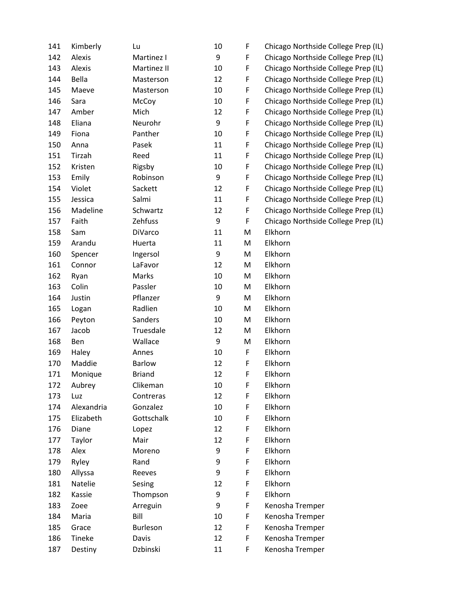| 141 | Kimberly   | Lu            | 10 | F | Chicago Northside College Prep (IL) |
|-----|------------|---------------|----|---|-------------------------------------|
| 142 | Alexis     | Martinez I    | 9  | F | Chicago Northside College Prep (IL) |
| 143 | Alexis     | Martinez II   | 10 | F | Chicago Northside College Prep (IL) |
| 144 | Bella      | Masterson     | 12 | F | Chicago Northside College Prep (IL) |
| 145 | Maeve      | Masterson     | 10 | F | Chicago Northside College Prep (IL) |
| 146 | Sara       | McCoy         | 10 | F | Chicago Northside College Prep (IL) |
| 147 | Amber      | Mich          | 12 | F | Chicago Northside College Prep (IL) |
| 148 | Eliana     | Neurohr       | 9  | F | Chicago Northside College Prep (IL) |
| 149 | Fiona      | Panther       | 10 | F | Chicago Northside College Prep (IL) |
| 150 | Anna       | Pasek         | 11 | F | Chicago Northside College Prep (IL) |
| 151 | Tirzah     | Reed          | 11 | F | Chicago Northside College Prep (IL) |
| 152 | Kristen    | Rigsby        | 10 | F | Chicago Northside College Prep (IL) |
| 153 | Emily      | Robinson      | 9  | F | Chicago Northside College Prep (IL) |
| 154 | Violet     | Sackett       | 12 | F | Chicago Northside College Prep (IL) |
| 155 | Jessica    | Salmi         | 11 | F | Chicago Northside College Prep (IL) |
| 156 | Madeline   | Schwartz      | 12 | F | Chicago Northside College Prep (IL) |
| 157 | Faith      | Zehfuss       | 9  | F | Chicago Northside College Prep (IL) |
| 158 | Sam        | DiVarco       | 11 | M | Elkhorn                             |
| 159 | Arandu     | Huerta        | 11 | M | Elkhorn                             |
| 160 | Spencer    | Ingersol      | 9  | M | Elkhorn                             |
| 161 | Connor     | LaFavor       | 12 | M | Elkhorn                             |
| 162 | Ryan       | Marks         | 10 | M | Elkhorn                             |
| 163 | Colin      | Passler       | 10 | M | Elkhorn                             |
| 164 | Justin     | Pflanzer      | 9  | M | Elkhorn                             |
| 165 | Logan      | Radlien       | 10 | M | Elkhorn                             |
| 166 | Peyton     | Sanders       | 10 | M | Elkhorn                             |
| 167 | Jacob      | Truesdale     | 12 | M | Elkhorn                             |
| 168 | Ben        | Wallace       | 9  | M | Elkhorn                             |
| 169 | Haley      | Annes         | 10 | F | Elkhorn                             |
| 170 | Maddie     | <b>Barlow</b> | 12 | F | Elkhorn                             |
| 171 | Monique    | <b>Briand</b> | 12 | F | Elkhorn                             |
| 172 | Aubrey     | Clikeman      | 10 | F | Elkhorn                             |
| 173 | Luz        | Contreras     | 12 | F | Elkhorn                             |
| 174 | Alexandria | Gonzalez      | 10 | F | Elkhorn                             |
| 175 | Elizabeth  | Gottschalk    | 10 | F | Elkhorn                             |
| 176 | Diane      | Lopez         | 12 | F | Elkhorn                             |
| 177 | Taylor     | Mair          | 12 | F | Elkhorn                             |
| 178 | Alex       | Moreno        | 9  | F | Elkhorn                             |
| 179 | Ryley      | Rand          | 9  | F | Elkhorn                             |
| 180 | Allyssa    | Reeves        | 9  | F | Elkhorn                             |
| 181 | Natelie    | Sesing        | 12 | F | Elkhorn                             |
| 182 | Kassie     | Thompson      | 9  | F | Elkhorn                             |
| 183 | Zoee       | Arreguin      | 9  | F | Kenosha Tremper                     |
| 184 | Maria      | Bill          | 10 | F | Kenosha Tremper                     |
| 185 | Grace      | Burleson      | 12 | F | Kenosha Tremper                     |
| 186 | Tineke     | Davis         | 12 | F | Kenosha Tremper                     |
| 187 | Destiny    | Dzbinski      | 11 | F | Kenosha Tremper                     |
|     |            |               |    |   |                                     |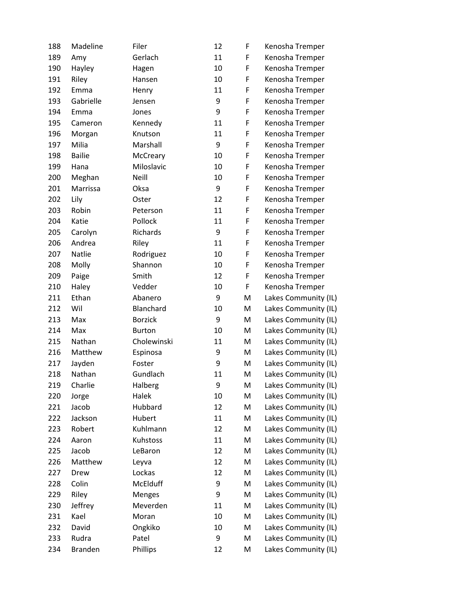| 188 | Madeline       | Filer          | 12 | F           | Kenosha Tremper      |
|-----|----------------|----------------|----|-------------|----------------------|
| 189 | Amy            | Gerlach        | 11 | F           | Kenosha Tremper      |
| 190 | Hayley         | Hagen          | 10 | F           | Kenosha Tremper      |
| 191 | Riley          | Hansen         | 10 | F           | Kenosha Tremper      |
| 192 | Emma           | Henry          | 11 | $\mathsf F$ | Kenosha Tremper      |
| 193 | Gabrielle      | Jensen         | 9  | $\mathsf F$ | Kenosha Tremper      |
| 194 | Emma           | Jones          | 9  | F           | Kenosha Tremper      |
| 195 | Cameron        | Kennedy        | 11 | F           | Kenosha Tremper      |
| 196 | Morgan         | Knutson        | 11 | $\mathsf F$ | Kenosha Tremper      |
| 197 | Milia          | Marshall       | 9  | F           | Kenosha Tremper      |
| 198 | <b>Bailie</b>  | McCreary       | 10 | F           | Kenosha Tremper      |
| 199 | Hana           | Miloslavic     | 10 | $\mathsf F$ | Kenosha Tremper      |
| 200 | Meghan         | Neill          | 10 | F           | Kenosha Tremper      |
| 201 | Marrissa       | Oksa           | 9  | F           | Kenosha Tremper      |
| 202 | Lily           | Oster          | 12 | $\mathsf F$ | Kenosha Tremper      |
| 203 | Robin          | Peterson       | 11 | F           | Kenosha Tremper      |
| 204 | Katie          | Pollock        | 11 | F           | Kenosha Tremper      |
| 205 | Carolyn        | Richards       | 9  | F           | Kenosha Tremper      |
| 206 | Andrea         | Riley          | 11 | F           | Kenosha Tremper      |
| 207 | Natlie         | Rodriguez      | 10 | F           | Kenosha Tremper      |
| 208 | Molly          | Shannon        | 10 | F           | Kenosha Tremper      |
| 209 | Paige          | Smith          | 12 | F           | Kenosha Tremper      |
| 210 | Haley          | Vedder         | 10 | F           | Kenosha Tremper      |
| 211 | Ethan          | Abanero        | 9  | M           | Lakes Community (IL) |
| 212 | Wil            | Blanchard      | 10 | M           | Lakes Community (IL) |
| 213 | Max            | <b>Borzick</b> | 9  | M           | Lakes Community (IL) |
| 214 | Max            | <b>Burton</b>  | 10 | M           | Lakes Community (IL) |
| 215 | Nathan         | Cholewinski    | 11 | M           | Lakes Community (IL) |
| 216 | Matthew        | Espinosa       | 9  | M           | Lakes Community (IL) |
| 217 | Jayden         | Foster         | 9  | M           | Lakes Community (IL) |
| 218 | Nathan         | Gundlach       | 11 | M           | Lakes Community (IL) |
| 219 | Charlie        | Halberg        | 9  | M           | Lakes Community (IL) |
| 220 | Jorge          | Halek          | 10 | M           | Lakes Community (IL) |
| 221 | Jacob          | Hubbard        | 12 | M           | Lakes Community (IL) |
| 222 | Jackson        | Hubert         | 11 | M           | Lakes Community (IL) |
| 223 | Robert         | Kuhlmann       | 12 | M           | Lakes Community (IL) |
| 224 | Aaron          | Kuhstoss       | 11 | M           | Lakes Community (IL) |
| 225 | Jacob          | LeBaron        | 12 | M           | Lakes Community (IL) |
| 226 | Matthew        | Leyva          | 12 | M           | Lakes Community (IL) |
| 227 | Drew           | Lockas         | 12 | M           | Lakes Community (IL) |
| 228 | Colin          | McElduff       | 9  | M           | Lakes Community (IL) |
| 229 | Riley          | Menges         | 9  | M           | Lakes Community (IL) |
| 230 | Jeffrey        | Meverden       | 11 | M           | Lakes Community (IL) |
| 231 | Kael           | Moran          | 10 | M           | Lakes Community (IL) |
| 232 | David          | Ongkiko        | 10 | M           | Lakes Community (IL) |
| 233 | Rudra          | Patel          | 9  | M           | Lakes Community (IL) |
| 234 | <b>Branden</b> | Phillips       | 12 | M           | Lakes Community (IL) |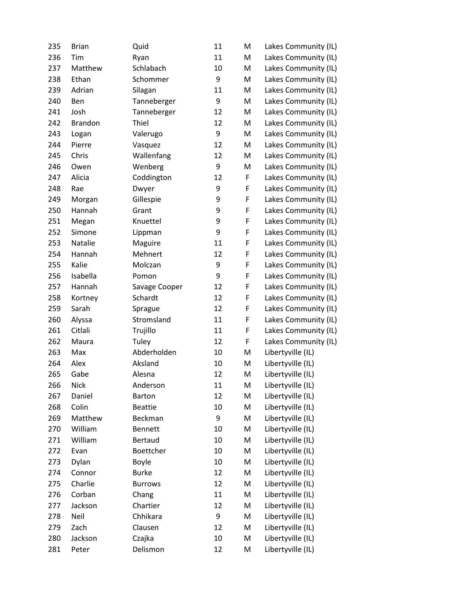| 235 | <b>Brian</b>   | Quid           | 11 | M | Lakes Community (IL) |
|-----|----------------|----------------|----|---|----------------------|
| 236 | Tim            | Ryan           | 11 | M | Lakes Community (IL) |
| 237 | Matthew        | Schlabach      | 10 | M | Lakes Community (IL) |
| 238 | Ethan          | Schommer       | 9  | M | Lakes Community (IL) |
| 239 | Adrian         | Silagan        | 11 | M | Lakes Community (IL) |
| 240 | Ben            | Tanneberger    | 9  | M | Lakes Community (IL) |
| 241 | Josh           | Tanneberger    | 12 | M | Lakes Community (IL) |
| 242 | <b>Brandon</b> | Thiel          | 12 | M | Lakes Community (IL) |
| 243 | Logan          | Valerugo       | 9  | M | Lakes Community (IL) |
| 244 | Pierre         | Vasquez        | 12 | M | Lakes Community (IL) |
| 245 | Chris          | Wallenfang     | 12 | M | Lakes Community (IL) |
| 246 | Owen           | Wenberg        | 9  | M | Lakes Community (IL) |
| 247 | Alicia         | Coddington     | 12 | F | Lakes Community (IL) |
| 248 | Rae            | Dwyer          | 9  | F | Lakes Community (IL) |
| 249 | Morgan         | Gillespie      | 9  | F | Lakes Community (IL) |
| 250 | Hannah         | Grant          | 9  | F | Lakes Community (IL) |
| 251 | Megan          | Knuettel       | 9  | F | Lakes Community (IL) |
| 252 | Simone         | Lippman        | 9  | F | Lakes Community (IL) |
| 253 | Natalie        | Maguire        | 11 | F | Lakes Community (IL) |
| 254 | Hannah         | Mehnert        | 12 | F | Lakes Community (IL) |
| 255 | Kalie          | Molczan        | 9  | F | Lakes Community (IL) |
| 256 | Isabella       | Pomon          | 9  | F | Lakes Community (IL) |
| 257 | Hannah         | Savage Cooper  | 12 | F | Lakes Community (IL) |
| 258 | Kortney        | Schardt        | 12 | F | Lakes Community (IL) |
| 259 | Sarah          | Sprague        | 12 | F | Lakes Community (IL) |
| 260 | Alyssa         | Stromsland     | 11 | F | Lakes Community (IL) |
| 261 | Citlali        | Trujillo       | 11 | F | Lakes Community (IL) |
| 262 | Maura          | Tuley          | 12 | F | Lakes Community (IL) |
| 263 | Max            | Abderholden    | 10 | M | Libertyville (IL)    |
| 264 | Alex           | Aksland        | 10 | M | Libertyville (IL)    |
| 265 | Gabe           | Alesna         | 12 | M | Libertyville (IL)    |
| 266 | <b>Nick</b>    | Anderson       | 11 | M | Libertyville (IL)    |
| 267 | Daniel         | Barton         | 12 | M | Libertyville (IL)    |
| 268 | Colin          | <b>Beattie</b> | 10 | M | Libertyville (IL)    |
| 269 | Matthew        | Beckman        | 9  | M | Libertyville (IL)    |
| 270 | William        | <b>Bennett</b> | 10 | M | Libertyville (IL)    |
| 271 | William        | Bertaud        | 10 | M | Libertyville (IL)    |
| 272 | Evan           | Boettcher      | 10 | M | Libertyville (IL)    |
| 273 | Dylan          | Boyle          | 10 | M | Libertyville (IL)    |
| 274 | Connor         | <b>Burke</b>   | 12 | M | Libertyville (IL)    |
| 275 | Charlie        | <b>Burrows</b> | 12 | M | Libertyville (IL)    |
| 276 | Corban         | Chang          | 11 | M | Libertyville (IL)    |
| 277 | Jackson        | Chartier       | 12 | M | Libertyville (IL)    |
| 278 | Neil           | Chhikara       | 9  | M | Libertyville (IL)    |
| 279 | Zach           | Clausen        | 12 | M | Libertyville (IL)    |
| 280 | Jackson        | Czajka         | 10 | M | Libertyville (IL)    |
| 281 | Peter          | Delismon       | 12 | M | Libertyville (IL)    |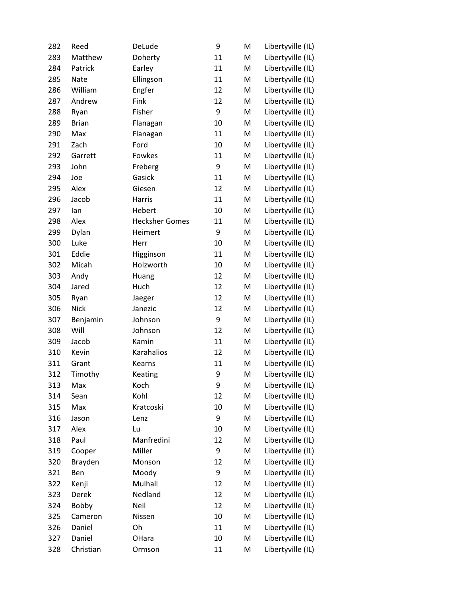| 282 | Reed         | DeLude                | 9  | M | Libertyville (IL) |
|-----|--------------|-----------------------|----|---|-------------------|
| 283 | Matthew      | Doherty               | 11 | M | Libertyville (IL) |
| 284 | Patrick      | Earley                | 11 | M | Libertyville (IL) |
| 285 | <b>Nate</b>  | Ellingson             | 11 | M | Libertyville (IL) |
| 286 | William      | Engfer                | 12 | M | Libertyville (IL) |
| 287 | Andrew       | Fink                  | 12 | M | Libertyville (IL) |
| 288 | Ryan         | Fisher                | 9  | M | Libertyville (IL) |
| 289 | <b>Brian</b> | Flanagan              | 10 | M | Libertyville (IL) |
| 290 | Max          | Flanagan              | 11 | M | Libertyville (IL) |
| 291 | Zach         | Ford                  | 10 | M | Libertyville (IL) |
| 292 | Garrett      | Fowkes                | 11 | M | Libertyville (IL) |
| 293 | John         | Freberg               | 9  | M | Libertyville (IL) |
| 294 | Joe          | Gasick                | 11 | M | Libertyville (IL) |
| 295 | Alex         | Giesen                | 12 | M | Libertyville (IL) |
| 296 | Jacob        | Harris                | 11 | M | Libertyville (IL) |
| 297 | lan          | Hebert                | 10 | M | Libertyville (IL) |
| 298 | Alex         | <b>Hecksher Gomes</b> | 11 | M | Libertyville (IL) |
| 299 | Dylan        | Heimert               | 9  | M | Libertyville (IL) |
| 300 | Luke         | Herr                  | 10 | M | Libertyville (IL) |
| 301 | Eddie        | Higginson             | 11 | M | Libertyville (IL) |
| 302 | Micah        | Holzworth             | 10 | M | Libertyville (IL) |
| 303 | Andy         | Huang                 | 12 | M | Libertyville (IL) |
| 304 | Jared        | Huch                  | 12 | M | Libertyville (IL) |
| 305 | Ryan         | Jaeger                | 12 | M | Libertyville (IL) |
| 306 | <b>Nick</b>  | Janezic               | 12 | M | Libertyville (IL) |
| 307 | Benjamin     | Johnson               | 9  | M | Libertyville (IL) |
| 308 | Will         | Johnson               | 12 | M | Libertyville (IL) |
| 309 | Jacob        | Kamin                 | 11 | M | Libertyville (IL) |
| 310 | Kevin        | Karahalios            | 12 | M | Libertyville (IL) |
| 311 | Grant        | Kearns                | 11 | M | Libertyville (IL) |
| 312 | Timothy      | Keating               | 9  | M | Libertyville (IL) |
| 313 | Max          | Koch                  | 9  | M | Libertyville (IL) |
| 314 | Sean         | Kohl                  | 12 | M | Libertyville (IL) |
| 315 | Max          | Kratcoski             | 10 | M | Libertyville (IL) |
| 316 | Jason        | Lenz                  | 9  | M | Libertyville (IL) |
| 317 | Alex         | Lu                    | 10 | M | Libertyville (IL) |
| 318 | Paul         | Manfredini            | 12 | M | Libertyville (IL) |
| 319 | Cooper       | Miller                | 9  | M | Libertyville (IL) |
| 320 | Brayden      | Monson                | 12 | M | Libertyville (IL) |
| 321 | Ben          | Moody                 | 9  | M | Libertyville (IL) |
| 322 | Kenji        | Mulhall               | 12 | M | Libertyville (IL) |
| 323 | Derek        | Nedland               | 12 | M | Libertyville (IL) |
| 324 | Bobby        | Neil                  | 12 | M | Libertyville (IL) |
| 325 | Cameron      | Nissen                | 10 | M | Libertyville (IL) |
| 326 | Daniel       | Oh                    | 11 | M | Libertyville (IL) |
| 327 | Daniel       | OHara                 | 10 | M | Libertyville (IL) |
| 328 | Christian    | Ormson                | 11 | M | Libertyville (IL) |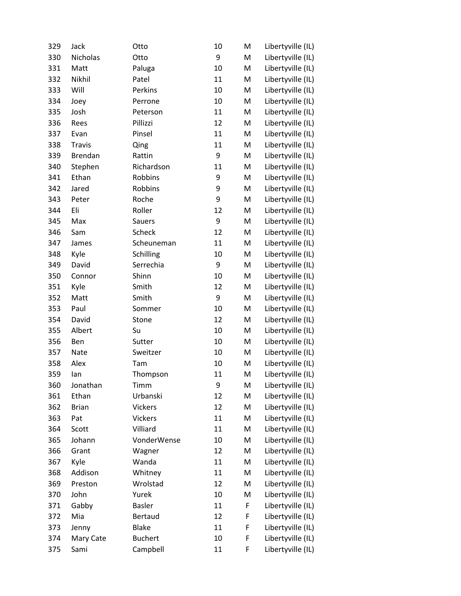| 329 | Jack           | Otto           | 10 | M | Libertyville (IL) |
|-----|----------------|----------------|----|---|-------------------|
| 330 | Nicholas       | Otto           | 9  | M | Libertyville (IL) |
| 331 | Matt           | Paluga         | 10 | M | Libertyville (IL) |
| 332 | Nikhil         | Patel          | 11 | M | Libertyville (IL) |
| 333 | Will           | Perkins        | 10 | M | Libertyville (IL) |
| 334 | Joey           | Perrone        | 10 | M | Libertyville (IL) |
| 335 | Josh           | Peterson       | 11 | M | Libertyville (IL) |
| 336 | Rees           | Pillizzi       | 12 | M | Libertyville (IL) |
| 337 | Evan           | Pinsel         | 11 | M | Libertyville (IL) |
| 338 | <b>Travis</b>  | Qing           | 11 | M | Libertyville (IL) |
| 339 | <b>Brendan</b> | Rattin         | 9  | M | Libertyville (IL) |
| 340 | Stephen        | Richardson     | 11 | M | Libertyville (IL) |
| 341 | Ethan          | Robbins        | 9  | M | Libertyville (IL) |
| 342 | Jared          | Robbins        | 9  | M | Libertyville (IL) |
| 343 | Peter          | Roche          | 9  | M | Libertyville (IL) |
| 344 | Eli            | Roller         | 12 | M | Libertyville (IL) |
| 345 | Max            | Sauers         | 9  | M | Libertyville (IL) |
| 346 | Sam            | <b>Scheck</b>  | 12 | M | Libertyville (IL) |
| 347 | James          | Scheuneman     | 11 | M | Libertyville (IL) |
| 348 | Kyle           | Schilling      | 10 | M | Libertyville (IL) |
| 349 | David          | Serrechia      | 9  | M | Libertyville (IL) |
| 350 | Connor         | Shinn          | 10 | M | Libertyville (IL) |
| 351 | Kyle           | Smith          | 12 | M | Libertyville (IL) |
| 352 | Matt           | Smith          | 9  | M | Libertyville (IL) |
| 353 | Paul           | Sommer         | 10 | M | Libertyville (IL) |
| 354 | David          | Stone          | 12 | M | Libertyville (IL) |
| 355 | Albert         | Su             | 10 | M | Libertyville (IL) |
| 356 | Ben            | Sutter         | 10 | M | Libertyville (IL) |
| 357 | Nate           | Sweitzer       | 10 | M | Libertyville (IL) |
| 358 | Alex           | Tam            | 10 | M | Libertyville (IL) |
| 359 | lan            | Thompson       | 11 | M | Libertyville (IL) |
| 360 | Jonathan       | Timm           | 9  | M | Libertyville (IL) |
| 361 | Ethan          | Urbanski       | 12 | M | Libertyville (IL) |
| 362 | <b>Brian</b>   | <b>Vickers</b> | 12 | M | Libertyville (IL) |
| 363 | Pat            | Vickers        | 11 | M | Libertyville (IL) |
| 364 | Scott          | Villiard       | 11 | M | Libertyville (IL) |
| 365 | Johann         | VonderWense    | 10 | M | Libertyville (IL) |
| 366 | Grant          | Wagner         | 12 | M | Libertyville (IL) |
| 367 | Kyle           | Wanda          | 11 | M | Libertyville (IL) |
| 368 | Addison        | Whitney        | 11 | M | Libertyville (IL) |
| 369 | Preston        | Wrolstad       | 12 | M | Libertyville (IL) |
| 370 | John           | Yurek          | 10 | M | Libertyville (IL) |
| 371 | Gabby          | <b>Basler</b>  | 11 | F | Libertyville (IL) |
| 372 | Mia            | Bertaud        | 12 | F | Libertyville (IL) |
| 373 | Jenny          | <b>Blake</b>   | 11 | F | Libertyville (IL) |
| 374 | Mary Cate      | <b>Buchert</b> | 10 | F | Libertyville (IL) |
| 375 | Sami           | Campbell       | 11 | F | Libertyville (IL) |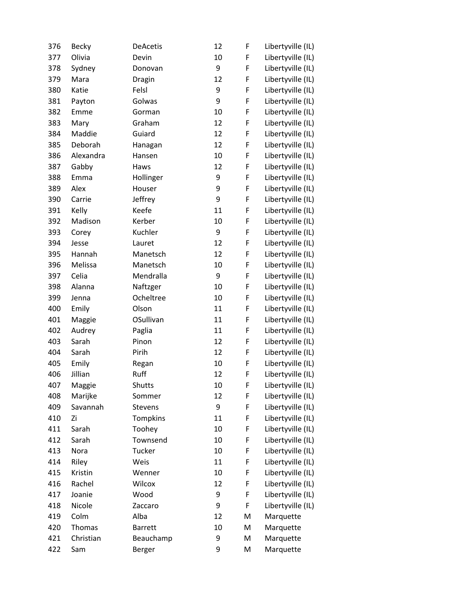| 376 | <b>Becky</b> | <b>DeAcetis</b> | 12 | F | Libertyville (IL) |
|-----|--------------|-----------------|----|---|-------------------|
| 377 | Olivia       | Devin           | 10 | F | Libertyville (IL) |
| 378 | Sydney       | Donovan         | 9  | F | Libertyville (IL) |
| 379 | Mara         | Dragin          | 12 | F | Libertyville (IL) |
| 380 | Katie        | Felsl           | 9  | F | Libertyville (IL) |
| 381 | Payton       | Golwas          | 9  | F | Libertyville (IL) |
| 382 | Emme         | Gorman          | 10 | F | Libertyville (IL) |
| 383 | Mary         | Graham          | 12 | F | Libertyville (IL) |
| 384 | Maddie       | Guiard          | 12 | F | Libertyville (IL) |
| 385 | Deborah      | Hanagan         | 12 | F | Libertyville (IL) |
| 386 | Alexandra    | Hansen          | 10 | F | Libertyville (IL) |
| 387 | Gabby        | Haws            | 12 | F | Libertyville (IL) |
| 388 | Emma         | Hollinger       | 9  | F | Libertyville (IL) |
| 389 | Alex         | Houser          | 9  | F | Libertyville (IL) |
| 390 | Carrie       | Jeffrey         | 9  | F | Libertyville (IL) |
| 391 | Kelly        | Keefe           | 11 | F | Libertyville (IL) |
| 392 | Madison      | Kerber          | 10 | F | Libertyville (IL) |
| 393 | Corey        | Kuchler         | 9  | F | Libertyville (IL) |
| 394 | Jesse        | Lauret          | 12 | F | Libertyville (IL) |
| 395 | Hannah       | Manetsch        | 12 | F | Libertyville (IL) |
| 396 | Melissa      | Manetsch        | 10 | F | Libertyville (IL) |
| 397 | Celia        | Mendralla       | 9  | F | Libertyville (IL) |
| 398 | Alanna       | Naftzger        | 10 | F | Libertyville (IL) |
| 399 | Jenna        | Ocheltree       | 10 | F | Libertyville (IL) |
| 400 | Emily        | Olson           | 11 | F | Libertyville (IL) |
| 401 | Maggie       | OSullivan       | 11 | F | Libertyville (IL) |
| 402 | Audrey       | Paglia          | 11 | F | Libertyville (IL) |
| 403 | Sarah        | Pinon           | 12 | F | Libertyville (IL) |
| 404 | Sarah        | Pirih           | 12 | F | Libertyville (IL) |
| 405 | Emily        | Regan           | 10 | F | Libertyville (IL) |
| 406 | Jillian      | Ruff            | 12 | F | Libertyville (IL) |
| 407 | Maggie       | Shutts          | 10 | F | Libertyville (IL) |
| 408 | Marijke      | Sommer          | 12 | F | Libertyville (IL) |
| 409 | Savannah     | <b>Stevens</b>  | 9  | F | Libertyville (IL) |
| 410 | Zi           | Tompkins        | 11 | F | Libertyville (IL) |
| 411 | Sarah        | Toohey          | 10 | F | Libertyville (IL) |
| 412 | Sarah        | Townsend        | 10 | F | Libertyville (IL) |
| 413 | Nora         | Tucker          | 10 | F | Libertyville (IL) |
| 414 | Riley        | Weis            | 11 | F | Libertyville (IL) |
| 415 | Kristin      | Wenner          | 10 | F | Libertyville (IL) |
| 416 | Rachel       | Wilcox          | 12 | F | Libertyville (IL) |
| 417 | Joanie       | Wood            | 9  | F | Libertyville (IL) |
| 418 | Nicole       | Zaccaro         | 9  | F | Libertyville (IL) |
| 419 | Colm         | Alba            | 12 | M | Marquette         |
| 420 | Thomas       | <b>Barrett</b>  | 10 | M | Marquette         |
| 421 | Christian    | Beauchamp       | 9  | M | Marquette         |
| 422 | Sam          | Berger          | 9  | M | Marquette         |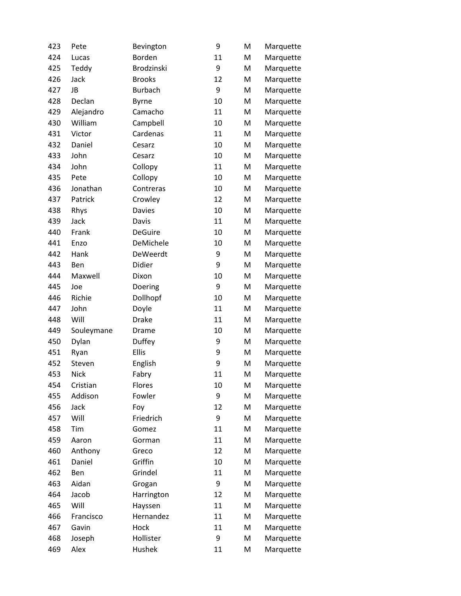| 423 | Pete        | Bevington      | 9  | M | Marquette |
|-----|-------------|----------------|----|---|-----------|
| 424 | Lucas       | Borden         | 11 | M | Marquette |
| 425 | Teddy       | Brodzinski     | 9  | M | Marquette |
| 426 | Jack        | <b>Brooks</b>  | 12 | M | Marquette |
| 427 | JB          | <b>Burbach</b> | 9  | M | Marquette |
| 428 | Declan      | <b>Byrne</b>   | 10 | M | Marquette |
| 429 | Alejandro   | Camacho        | 11 | M | Marquette |
| 430 | William     | Campbell       | 10 | M | Marquette |
| 431 | Victor      | Cardenas       | 11 | M | Marquette |
| 432 | Daniel      | Cesarz         | 10 | M | Marquette |
| 433 | John        | Cesarz         | 10 | M | Marquette |
| 434 | John        | Collopy        | 11 | M | Marquette |
| 435 | Pete        | Collopy        | 10 | M | Marquette |
| 436 | Jonathan    | Contreras      | 10 | M | Marquette |
| 437 | Patrick     | Crowley        | 12 | M | Marquette |
| 438 | Rhys        | <b>Davies</b>  | 10 | M | Marquette |
| 439 | Jack        | Davis          | 11 | M | Marquette |
| 440 | Frank       | <b>DeGuire</b> | 10 | M | Marquette |
| 441 | Enzo        | DeMichele      | 10 | M | Marquette |
| 442 | Hank        | DeWeerdt       | 9  | M | Marquette |
| 443 | Ben         | Didier         | 9  | M | Marquette |
| 444 | Maxwell     | Dixon          | 10 | M | Marquette |
| 445 | Joe         | Doering        | 9  | M | Marquette |
| 446 | Richie      | Dollhopf       | 10 | M | Marquette |
| 447 | John        | Doyle          | 11 | M | Marquette |
| 448 | Will        | <b>Drake</b>   | 11 | M | Marquette |
| 449 | Souleymane  | Drame          | 10 | M | Marquette |
| 450 | Dylan       | Duffey         | 9  | M | Marquette |
| 451 | Ryan        | Ellis          | 9  | M | Marquette |
| 452 | Steven      | English        | 9  | M | Marquette |
| 453 | <b>Nick</b> | Fabry          | 11 | M | Marquette |
| 454 | Cristian    | Flores         | 10 | M | Marquette |
| 455 | Addison     | Fowler         | 9  | M | Marquette |
| 456 | Jack        | Foy            | 12 | M | Marquette |
| 457 | Will        | Friedrich      | 9  | M | Marquette |
| 458 | Tim         | Gomez          | 11 | M | Marquette |
| 459 | Aaron       | Gorman         | 11 | M | Marquette |
| 460 | Anthony     | Greco          | 12 | M | Marquette |
| 461 | Daniel      | Griffin        | 10 | M | Marquette |
| 462 | Ben         | Grindel        | 11 | M | Marquette |
| 463 | Aidan       | Grogan         | 9  | M | Marquette |
| 464 | Jacob       | Harrington     | 12 | M | Marquette |
| 465 | Will        | Hayssen        | 11 | M | Marquette |
| 466 | Francisco   | Hernandez      | 11 | M | Marquette |
| 467 | Gavin       | Hock           | 11 | M | Marquette |
| 468 | Joseph      | Hollister      | 9  | M | Marquette |
| 469 | Alex        | Hushek         | 11 | M | Marquette |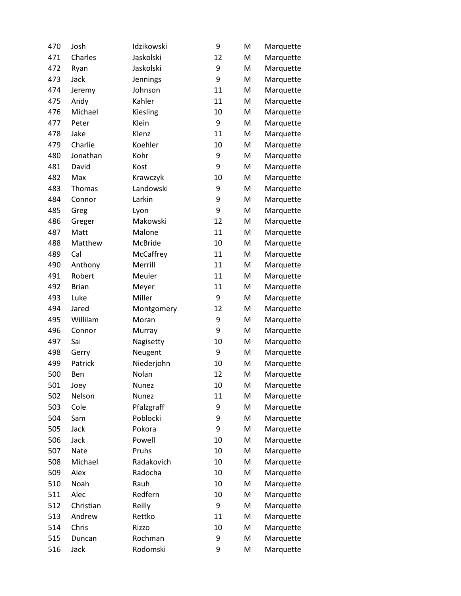| 470 | Josh         | Idzikowski | 9  | M | Marquette |
|-----|--------------|------------|----|---|-----------|
| 471 | Charles      | Jaskolski  | 12 | M | Marquette |
| 472 | Ryan         | Jaskolski  | 9  | M | Marquette |
| 473 | Jack         | Jennings   | 9  | M | Marquette |
| 474 | Jeremy       | Johnson    | 11 | M | Marquette |
| 475 | Andy         | Kahler     | 11 | M | Marquette |
| 476 | Michael      | Kiesling   | 10 | M | Marquette |
| 477 | Peter        | Klein      | 9  | M | Marquette |
| 478 | Jake         | Klenz      | 11 | M | Marquette |
| 479 | Charlie      | Koehler    | 10 | M | Marquette |
| 480 | Jonathan     | Kohr       | 9  | M | Marquette |
| 481 | David        | Kost       | 9  | M | Marquette |
| 482 | Max          | Krawczyk   | 10 | M | Marquette |
| 483 | Thomas       | Landowski  | 9  | M | Marquette |
| 484 | Connor       | Larkin     | 9  | M | Marquette |
| 485 | Greg         | Lyon       | 9  | M | Marquette |
| 486 | Greger       | Makowski   | 12 | M | Marquette |
| 487 | Matt         | Malone     | 11 | M | Marquette |
| 488 | Matthew      | McBride    | 10 | M | Marquette |
| 489 | Cal          | McCaffrey  | 11 | M | Marquette |
| 490 | Anthony      | Merrill    | 11 | M | Marquette |
| 491 | Robert       | Meuler     | 11 | M | Marquette |
| 492 | <b>Brian</b> | Meyer      | 11 | M | Marquette |
| 493 | Luke         | Miller     | 9  | M | Marquette |
| 494 | Jared        | Montgomery | 12 | M | Marquette |
| 495 | Willilam     | Moran      | 9  | M | Marquette |
| 496 | Connor       | Murray     | 9  | M | Marquette |
| 497 | Sai          | Nagisetty  | 10 | M | Marquette |
| 498 | Gerry        | Neugent    | 9  | M | Marquette |
| 499 | Patrick      | Niederjohn | 10 | M | Marquette |
| 500 | Ben          | Nolan      | 12 | M | Marquette |
| 501 | Joey         | Nunez      | 10 | M | Marquette |
| 502 | Nelson       | Nunez      | 11 | M | Marquette |
| 503 | Cole         | Pfalzgraff | 9  | M | Marquette |
| 504 | Sam          | Poblocki   | 9  | M | Marquette |
| 505 | Jack         | Pokora     | 9  | M | Marquette |
| 506 | Jack         | Powell     | 10 | M | Marquette |
| 507 | Nate         | Pruhs      | 10 | M | Marquette |
| 508 | Michael      | Radakovich | 10 | M | Marquette |
| 509 | Alex         | Radocha    | 10 | M | Marquette |
| 510 | Noah         | Rauh       | 10 | M | Marquette |
| 511 | Alec         | Redfern    | 10 | M | Marquette |
| 512 | Christian    | Reilly     | 9  | M | Marquette |
| 513 | Andrew       | Rettko     | 11 | M | Marquette |
| 514 | Chris        | Rizzo      | 10 | M | Marquette |
| 515 | Duncan       | Rochman    | 9  | M | Marquette |
| 516 | Jack         | Rodomski   | 9  | M | Marquette |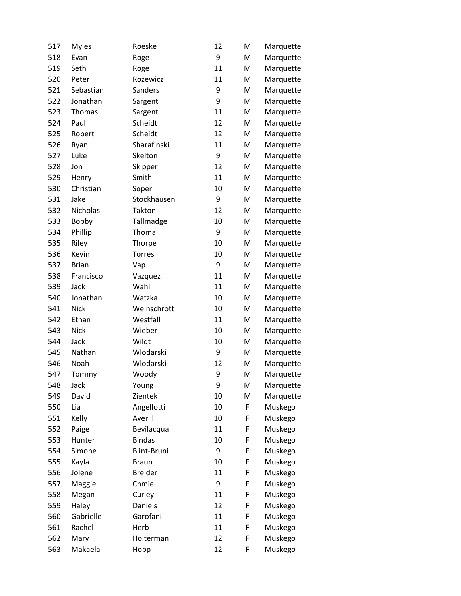| 517 | <b>Myles</b> | Roeske             | 12 | M | Marquette |
|-----|--------------|--------------------|----|---|-----------|
| 518 | Evan         | Roge               | 9  | M | Marquette |
| 519 | Seth         | Roge               | 11 | M | Marquette |
| 520 | Peter        | Rozewicz           | 11 | M | Marquette |
| 521 | Sebastian    | Sanders            | 9  | M | Marquette |
| 522 | Jonathan     | Sargent            | 9  | M | Marquette |
| 523 | Thomas       | Sargent            | 11 | M | Marquette |
| 524 | Paul         | Scheidt            | 12 | M | Marquette |
| 525 | Robert       | Scheidt            | 12 | M | Marquette |
| 526 | Ryan         | Sharafinski        | 11 | M | Marquette |
| 527 | Luke         | Skelton            | 9  | M | Marquette |
| 528 | Jon          | Skipper            | 12 | M | Marquette |
| 529 | Henry        | Smith              | 11 | M | Marquette |
| 530 | Christian    | Soper              | 10 | M | Marquette |
| 531 | Jake         | Stockhausen        | 9  | M | Marquette |
| 532 | Nicholas     | Takton             | 12 | M | Marquette |
| 533 | Bobby        | Tallmadge          | 10 | M | Marquette |
| 534 | Phillip      | Thoma              | 9  | M | Marquette |
| 535 | Riley        | Thorpe             | 10 | M | Marquette |
| 536 | Kevin        | <b>Torres</b>      | 10 | M | Marquette |
| 537 | <b>Brian</b> | Vap                | 9  | M | Marquette |
| 538 | Francisco    | Vazquez            | 11 | M | Marquette |
| 539 | Jack         | Wahl               | 11 | M | Marquette |
| 540 | Jonathan     | Watzka             | 10 | M | Marquette |
| 541 | <b>Nick</b>  | Weinschrott        | 10 | M | Marquette |
| 542 | Ethan        | Westfall           | 11 | M | Marquette |
| 543 | <b>Nick</b>  | Wieber             | 10 | M | Marquette |
| 544 | Jack         | Wildt              | 10 | M | Marquette |
| 545 | Nathan       | Wlodarski          | 9  | M | Marquette |
| 546 | Noah         | Wlodarski          | 12 | M | Marquette |
| 547 | Tommy        | Woody              | 9  | M | Marquette |
| 548 | Jack         | Young              | 9  | M | Marquette |
| 549 | David        | Zientek            | 10 | M | Marquette |
| 550 | Lia          | Angellotti         | 10 | F | Muskego   |
| 551 | Kelly        | Averill            | 10 | F | Muskego   |
| 552 | Paige        | Bevilacqua         | 11 | F | Muskego   |
| 553 | Hunter       | <b>Bindas</b>      | 10 | F | Muskego   |
| 554 | Simone       | <b>Blint-Bruni</b> | 9  | F | Muskego   |
| 555 | Kayla        | <b>Braun</b>       | 10 | F | Muskego   |
| 556 | Jolene       | <b>Breider</b>     | 11 | F | Muskego   |
| 557 | Maggie       | Chmiel             | 9  | F | Muskego   |
| 558 | Megan        | Curley             | 11 | F | Muskego   |
| 559 | Haley        | <b>Daniels</b>     | 12 | F | Muskego   |
| 560 | Gabrielle    | Garofani           | 11 | F | Muskego   |
| 561 | Rachel       | Herb               | 11 | F | Muskego   |
| 562 | Mary         | Holterman          | 12 | F | Muskego   |
| 563 | Makaela      | Hopp               | 12 | F | Muskego   |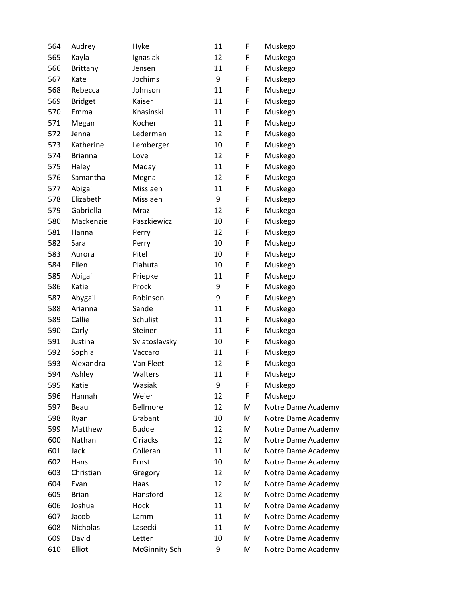| 564 | Audrey         | Hyke           | 11 | F | Muskego            |
|-----|----------------|----------------|----|---|--------------------|
| 565 | Kayla          | Ignasiak       | 12 | F | Muskego            |
| 566 | Brittany       | Jensen         | 11 | F | Muskego            |
| 567 | Kate           | Jochims        | 9  | F | Muskego            |
| 568 | Rebecca        | Johnson        | 11 | F | Muskego            |
| 569 | <b>Bridget</b> | Kaiser         | 11 | F | Muskego            |
| 570 | Emma           | Knasinski      | 11 | F | Muskego            |
| 571 | Megan          | Kocher         | 11 | F | Muskego            |
| 572 | Jenna          | Lederman       | 12 | F | Muskego            |
| 573 | Katherine      | Lemberger      | 10 | F | Muskego            |
| 574 | <b>Brianna</b> | Love           | 12 | F | Muskego            |
| 575 | Haley          | Maday          | 11 | F | Muskego            |
| 576 | Samantha       | Megna          | 12 | F | Muskego            |
| 577 | Abigail        | Missiaen       | 11 | F | Muskego            |
| 578 | Elizabeth      | Missiaen       | 9  | F | Muskego            |
| 579 | Gabriella      | Mraz           | 12 | F | Muskego            |
| 580 | Mackenzie      | Paszkiewicz    | 10 | F | Muskego            |
| 581 | Hanna          | Perry          | 12 | F | Muskego            |
| 582 | Sara           | Perry          | 10 | F | Muskego            |
| 583 | Aurora         | Pitel          | 10 | F | Muskego            |
| 584 | Ellen          | Plahuta        | 10 | F | Muskego            |
| 585 | Abigail        | Priepke        | 11 | F | Muskego            |
| 586 | Katie          | Prock          | 9  | F | Muskego            |
| 587 | Abygail        | Robinson       | 9  | F | Muskego            |
| 588 | Arianna        | Sande          | 11 | F | Muskego            |
| 589 | Callie         | Schulist       | 11 | F | Muskego            |
| 590 | Carly          | Steiner        | 11 | F | Muskego            |
| 591 | Justina        | Sviatoslavsky  | 10 | F | Muskego            |
| 592 | Sophia         | Vaccaro        | 11 | F | Muskego            |
| 593 | Alexandra      | Van Fleet      | 12 | F | Muskego            |
| 594 | Ashley         | Walters        | 11 | F | Muskego            |
| 595 | Katie          | Wasiak         | 9  | F | Muskego            |
| 596 | Hannah         | Weier          | 12 | F | Muskego            |
| 597 | Beau           | Bellmore       | 12 | M | Notre Dame Academy |
| 598 | Ryan           | <b>Brabant</b> | 10 | M | Notre Dame Academy |
| 599 | Matthew        | <b>Budde</b>   | 12 | M | Notre Dame Academy |
| 600 | Nathan         | Ciriacks       | 12 | M | Notre Dame Academy |
| 601 | Jack           | Colleran       | 11 | M | Notre Dame Academy |
| 602 | Hans           | Ernst          | 10 | M | Notre Dame Academy |
| 603 | Christian      | Gregory        | 12 | M | Notre Dame Academy |
| 604 | Evan           | Haas           | 12 | М | Notre Dame Academy |
| 605 | <b>Brian</b>   | Hansford       | 12 | M | Notre Dame Academy |
| 606 | Joshua         | Hock           | 11 | M | Notre Dame Academy |
| 607 | Jacob          | Lamm           | 11 | М | Notre Dame Academy |
| 608 | Nicholas       | Lasecki        | 11 | M | Notre Dame Academy |
| 609 | David          | Letter         | 10 | М | Notre Dame Academy |
| 610 | Elliot         | McGinnity-Sch  | 9  | M | Notre Dame Academy |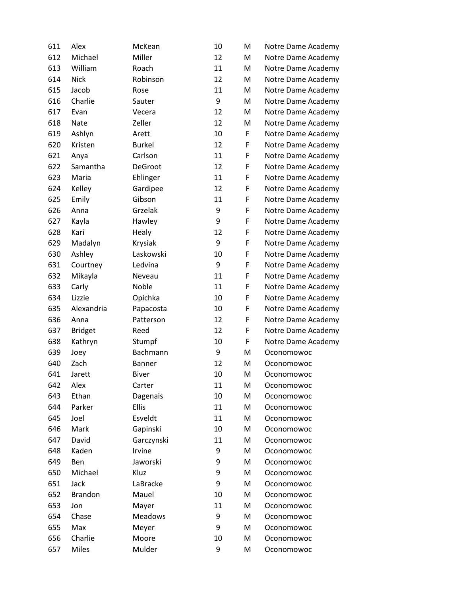| 611 | Alex           | McKean         | 10 | M | Notre Dame Academy |
|-----|----------------|----------------|----|---|--------------------|
| 612 | Michael        | Miller         | 12 | M | Notre Dame Academy |
| 613 | William        | Roach          | 11 | M | Notre Dame Academy |
| 614 | <b>Nick</b>    | Robinson       | 12 | M | Notre Dame Academy |
| 615 | Jacob          | Rose           | 11 | M | Notre Dame Academy |
| 616 | Charlie        | Sauter         | 9  | M | Notre Dame Academy |
| 617 | Evan           | Vecera         | 12 | M | Notre Dame Academy |
| 618 | <b>Nate</b>    | Zeller         | 12 | M | Notre Dame Academy |
| 619 | Ashlyn         | Arett          | 10 | F | Notre Dame Academy |
| 620 | Kristen        | <b>Burkel</b>  | 12 | F | Notre Dame Academy |
| 621 | Anya           | Carlson        | 11 | F | Notre Dame Academy |
| 622 | Samantha       | DeGroot        | 12 | F | Notre Dame Academy |
| 623 | Maria          | Ehlinger       | 11 | F | Notre Dame Academy |
| 624 | Kelley         | Gardipee       | 12 | F | Notre Dame Academy |
| 625 | Emily          | Gibson         | 11 | F | Notre Dame Academy |
| 626 | Anna           | Grzelak        | 9  | F | Notre Dame Academy |
| 627 | Kayla          | Hawley         | 9  | F | Notre Dame Academy |
| 628 | Kari           | Healy          | 12 | F | Notre Dame Academy |
| 629 | Madalyn        | Krysiak        | 9  | F | Notre Dame Academy |
| 630 | Ashley         | Laskowski      | 10 | F | Notre Dame Academy |
| 631 | Courtney       | Ledvina        | 9  | F | Notre Dame Academy |
| 632 | Mikayla        | Neveau         | 11 | F | Notre Dame Academy |
| 633 | Carly          | Noble          | 11 | F | Notre Dame Academy |
| 634 | Lizzie         | Opichka        | 10 | F | Notre Dame Academy |
| 635 | Alexandria     | Papacosta      | 10 | F | Notre Dame Academy |
| 636 | Anna           | Patterson      | 12 | F | Notre Dame Academy |
| 637 | <b>Bridget</b> | Reed           | 12 | F | Notre Dame Academy |
| 638 | Kathryn        | Stumpf         | 10 | F | Notre Dame Academy |
| 639 | Joey           | Bachmann       | 9  | M | Oconomowoc         |
| 640 | Zach           | Banner         | 12 | M | Oconomowoc         |
| 641 | Jarett         | <b>Biver</b>   | 10 | M | Oconomowoc         |
| 642 | Alex           | Carter         | 11 | M | Oconomowoc         |
| 643 | Ethan          | Dagenais       | 10 | M | Oconomowoc         |
| 644 | Parker         | <b>Ellis</b>   | 11 | M | Oconomowoc         |
| 645 | Joel           | Esveldt        | 11 | M | Oconomowoc         |
| 646 | Mark           | Gapinski       | 10 | M | Oconomowoc         |
| 647 | David          | Garczynski     | 11 | M | Oconomowoc         |
| 648 | Kaden          | Irvine         | 9  | M | Oconomowoc         |
| 649 | Ben            | Jaworski       | 9  | M | Oconomowoc         |
| 650 | Michael        | Kluz           | 9  | M | Oconomowoc         |
| 651 | Jack           | LaBracke       | 9  | M | Oconomowoc         |
| 652 | <b>Brandon</b> | Mauel          | 10 | M | Oconomowoc         |
| 653 | Jon            | Mayer          | 11 | M | Oconomowoc         |
| 654 | Chase          | <b>Meadows</b> | 9  | M | Oconomowoc         |
| 655 | Max            | Meyer          | 9  | M | Oconomowoc         |
| 656 | Charlie        | Moore          | 10 | M | Oconomowoc         |
| 657 | <b>Miles</b>   | Mulder         | 9  | M | Oconomowoc         |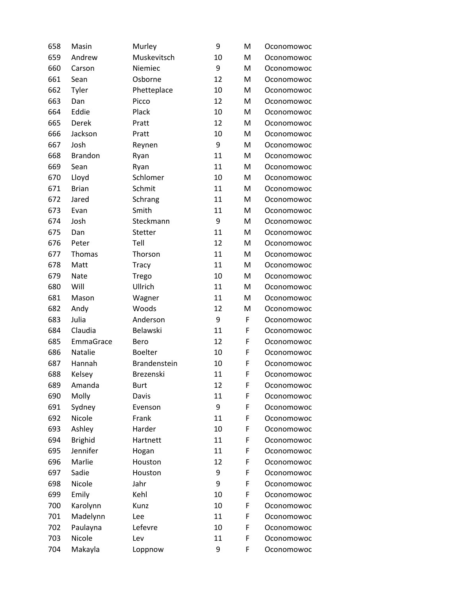| 658 | Masin          | Murley         | 9  | M | Oconomowoc |
|-----|----------------|----------------|----|---|------------|
| 659 | Andrew         | Muskevitsch    | 10 | M | Oconomowoc |
| 660 | Carson         | Niemiec        | 9  | M | Oconomowoc |
| 661 | Sean           | Osborne        | 12 | M | Oconomowoc |
| 662 | Tyler          | Phetteplace    | 10 | M | Oconomowoc |
| 663 | Dan            | Picco          | 12 | м | Oconomowoc |
| 664 | Eddie          | Plack          | 10 | M | Oconomowoc |
| 665 | Derek          | Pratt          | 12 | M | Oconomowoc |
| 666 | Jackson        | Pratt          | 10 | M | Oconomowoc |
| 667 | Josh           | Reynen         | 9  | M | Oconomowoc |
| 668 | <b>Brandon</b> | Ryan           | 11 | M | Oconomowoc |
| 669 | Sean           | Ryan           | 11 | M | Oconomowoc |
| 670 | Lloyd          | Schlomer       | 10 | M | Oconomowoc |
| 671 | <b>Brian</b>   | Schmit         | 11 | M | Oconomowoc |
| 672 | Jared          | Schrang        | 11 | M | Oconomowoc |
| 673 | Evan           | Smith          | 11 | M | Oconomowoc |
| 674 | Josh           | Steckmann      | 9  | M | Oconomowoc |
| 675 | Dan            | Stetter        | 11 | M | Oconomowoc |
| 676 | Peter          | Tell           | 12 | M | Oconomowoc |
| 677 | <b>Thomas</b>  | Thorson        | 11 | M | Oconomowoc |
| 678 | Matt           | <b>Tracy</b>   | 11 | M | Oconomowoc |
| 679 | Nate           | Trego          | 10 | M | Oconomowoc |
| 680 | Will           | Ullrich        | 11 | M | Oconomowoc |
| 681 | Mason          | Wagner         | 11 | M | Oconomowoc |
| 682 | Andy           | Woods          | 12 | м | Oconomowoc |
| 683 | Julia          | Anderson       | 9  | F | Oconomowoc |
| 684 | Claudia        | Belawski       | 11 | F | Oconomowoc |
| 685 | EmmaGrace      | Bero           | 12 | F | Oconomowoc |
| 686 | Natalie        | <b>Boelter</b> | 10 | F | Oconomowoc |
| 687 | Hannah         | Brandenstein   | 10 | F | Oconomowoc |
| 688 | Kelsey         | Brezenski      | 11 | F | Oconomowoc |
| 689 | Amanda         | <b>Burt</b>    | 12 | F | Oconomowoc |
| 690 | Molly          | Davis          | 11 | F | Oconomowoc |
| 691 | Sydney         | Evenson        | 9  | F | Oconomowoc |
| 692 | Nicole         | Frank          | 11 | F | Oconomowoc |
| 693 | Ashley         | Harder         | 10 | F | Oconomowoc |
| 694 | <b>Brighid</b> | Hartnett       | 11 | F | Oconomowoc |
| 695 | Jennifer       | Hogan          | 11 | F | Oconomowoc |
| 696 | Marlie         | Houston        | 12 | F | Oconomowoc |
| 697 | Sadie          | Houston        | 9  | F | Oconomowoc |
| 698 | Nicole         | Jahr           | 9  | F | Oconomowoc |
| 699 | Emily          | Kehl           | 10 | F | Oconomowoc |
| 700 | Karolynn       | Kunz           | 10 | F | Oconomowoc |
| 701 | Madelynn       | Lee            | 11 | F | Oconomowoc |
| 702 | Paulayna       | Lefevre        | 10 | F | Oconomowoc |
| 703 | Nicole         | Lev            | 11 | F | Oconomowoc |
| 704 | Makayla        | Loppnow        | 9  | F | Oconomowoc |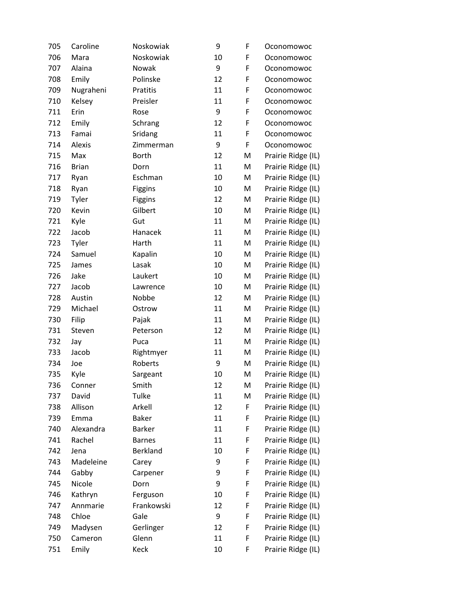| 705 | Caroline     | Noskowiak     | 9  | F | Oconomowoc         |
|-----|--------------|---------------|----|---|--------------------|
| 706 | Mara         | Noskowiak     | 10 | F | Oconomowoc         |
| 707 | Alaina       | Nowak         | 9  | F | Oconomowoc         |
| 708 | Emily        | Polinske      | 12 | F | Oconomowoc         |
| 709 | Nugraheni    | Pratitis      | 11 | F | Oconomowoc         |
| 710 | Kelsey       | Preisler      | 11 | F | Oconomowoc         |
| 711 | Erin         | Rose          | 9  | F | Oconomowoc         |
| 712 | Emily        | Schrang       | 12 | F | Oconomowoc         |
| 713 | Famai        | Sridang       | 11 | F | Oconomowoc         |
| 714 | Alexis       | Zimmerman     | 9  | F | Oconomowoc         |
| 715 | Max          | <b>Borth</b>  | 12 | M | Prairie Ridge (IL) |
| 716 | <b>Brian</b> | Dorn          | 11 | M | Prairie Ridge (IL) |
| 717 | Ryan         | Eschman       | 10 | M | Prairie Ridge (IL) |
| 718 | Ryan         | Figgins       | 10 | M | Prairie Ridge (IL) |
| 719 | Tyler        | Figgins       | 12 | M | Prairie Ridge (IL) |
| 720 | Kevin        | Gilbert       | 10 | M | Prairie Ridge (IL) |
| 721 | Kyle         | Gut           | 11 | M | Prairie Ridge (IL) |
| 722 | Jacob        | Hanacek       | 11 | M | Prairie Ridge (IL) |
| 723 | Tyler        | Harth         | 11 | M | Prairie Ridge (IL) |
| 724 | Samuel       | Kapalin       | 10 | M | Prairie Ridge (IL) |
| 725 | James        | Lasak         | 10 | M | Prairie Ridge (IL) |
| 726 | Jake         | Laukert       | 10 | M | Prairie Ridge (IL) |
| 727 | Jacob        | Lawrence      | 10 | M | Prairie Ridge (IL) |
| 728 | Austin       | Nobbe         | 12 | M | Prairie Ridge (IL) |
| 729 | Michael      | Ostrow        | 11 | M | Prairie Ridge (IL) |
| 730 | Filip        | Pajak         | 11 | M | Prairie Ridge (IL) |
| 731 | Steven       | Peterson      | 12 | M | Prairie Ridge (IL) |
| 732 | Jay          | Puca          | 11 | M | Prairie Ridge (IL) |
| 733 | Jacob        | Rightmyer     | 11 | M | Prairie Ridge (IL) |
| 734 | Joe          | Roberts       | 9  | M | Prairie Ridge (IL) |
| 735 | Kyle         | Sargeant      | 10 | M | Prairie Ridge (IL) |
| 736 | Conner       | Smith         | 12 | M | Prairie Ridge (IL) |
| 737 | David        | Tulke         | 11 | M | Prairie Ridge (IL) |
| 738 | Allison      | Arkell        | 12 | F | Prairie Ridge (IL) |
| 739 | Emma         | <b>Baker</b>  | 11 | F | Prairie Ridge (IL) |
| 740 | Alexandra    | Barker        | 11 | F | Prairie Ridge (IL) |
| 741 | Rachel       | <b>Barnes</b> | 11 | F | Prairie Ridge (IL) |
| 742 | Jena         | Berkland      | 10 | F | Prairie Ridge (IL) |
| 743 | Madeleine    | Carey         | 9  | F | Prairie Ridge (IL) |
| 744 | Gabby        | Carpener      | 9  | F | Prairie Ridge (IL) |
| 745 | Nicole       | Dorn          | 9  | F | Prairie Ridge (IL) |
| 746 | Kathryn      | Ferguson      | 10 | F | Prairie Ridge (IL) |
| 747 | Annmarie     | Frankowski    | 12 | F | Prairie Ridge (IL) |
| 748 | Chloe        | Gale          | 9  | F | Prairie Ridge (IL) |
| 749 | Madysen      | Gerlinger     | 12 | F | Prairie Ridge (IL) |
| 750 | Cameron      | Glenn         | 11 | F | Prairie Ridge (IL) |
| 751 | Emily        | Keck          | 10 | F | Prairie Ridge (IL) |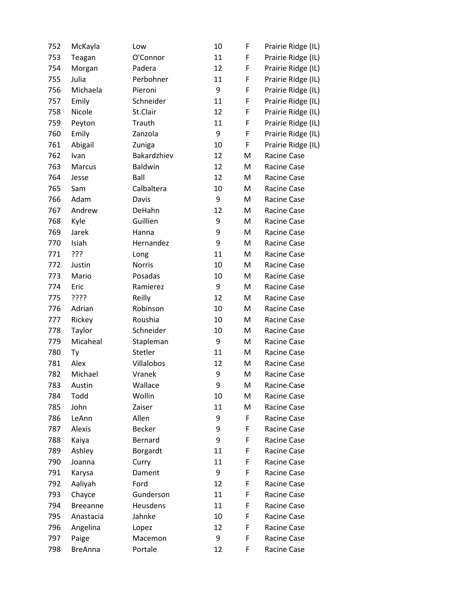| 752 | McKayla         | Low           | 10 | F | Prairie Ridge (IL) |
|-----|-----------------|---------------|----|---|--------------------|
| 753 | Teagan          | O'Connor      | 11 | F | Prairie Ridge (IL) |
| 754 | Morgan          | Padera        | 12 | F | Prairie Ridge (IL) |
| 755 | Julia           | Perbohner     | 11 | F | Prairie Ridge (IL) |
| 756 | Michaela        | Pieroni       | 9  | F | Prairie Ridge (IL) |
| 757 | Emily           | Schneider     | 11 | F | Prairie Ridge (IL) |
| 758 | Nicole          | St.Clair      | 12 | F | Prairie Ridge (IL) |
| 759 | Peyton          | Trauth        | 11 | F | Prairie Ridge (IL) |
| 760 | Emily           | Zanzola       | 9  | F | Prairie Ridge (IL) |
| 761 | Abigail         | Zuniga        | 10 | F | Prairie Ridge (IL) |
| 762 | Ivan            | Bakardzhiev   | 12 | M | Racine Case        |
| 763 | Marcus          | Baldwin       | 12 | M | Racine Case        |
| 764 | Jesse           | Ball          | 12 | M | Racine Case        |
| 765 | Sam             | Calbaltera    | 10 | M | Racine Case        |
| 766 | Adam            | Davis         | 9  | M | Racine Case        |
| 767 | Andrew          | DeHahn        | 12 | M | Racine Case        |
| 768 | Kyle            | Guillien      | 9  | M | Racine Case        |
| 769 | Jarek           | Hanna         | 9  | M | Racine Case        |
| 770 | Isiah           | Hernandez     | 9  | M | Racine Case        |
| 771 | ???             | Long          | 11 | M | Racine Case        |
| 772 | Justin          | <b>Norris</b> | 10 | M | Racine Case        |
| 773 | Mario           | Posadas       | 10 | M | Racine Case        |
| 774 | Eric            | Ramierez      | 9  | M | Racine Case        |
| 775 | ????            | Reilly        | 12 | M | Racine Case        |
| 776 | Adrian          | Robinson      | 10 | M | Racine Case        |
| 777 | Rickey          | Roushia       | 10 | M | Racine Case        |
| 778 | Taylor          | Schneider     | 10 | M | Racine Case        |
| 779 | Micaheal        | Stapleman     | 9  | M | Racine Case        |
| 780 | Ty              | Stetler       | 11 | M | Racine Case        |
| 781 | Alex            | Villalobos    | 12 | M | Racine Case        |
| 782 | Michael         | Vranek        | 9  | M | Racine Case        |
| 783 | Austin          | Wallace       | 9  | M | Racine Case        |
| 784 | Todd            | Wollin        | 10 | M | Racine Case        |
| 785 | John            | Zaiser        | 11 | M | Racine Case        |
| 786 | LeAnn           | Allen         | 9  | F | Racine Case        |
| 787 | Alexis          | <b>Becker</b> | 9  | F | Racine Case        |
| 788 | Kaiya           | Bernard       | 9  | F | Racine Case        |
| 789 | Ashley          | Borgardt      | 11 | F | Racine Case        |
| 790 | Joanna          | Curry         | 11 | F | Racine Case        |
| 791 | Karysa          | Dament        | 9  | F | Racine Case        |
| 792 | Aaliyah         | Ford          | 12 | F | Racine Case        |
| 793 | Chayce          | Gunderson     | 11 | F | Racine Case        |
| 794 | <b>Breeanne</b> | Heusdens      | 11 | F | Racine Case        |
| 795 | Anastacia       | Jahnke        | 10 | F | Racine Case        |
| 796 | Angelina        | Lopez         | 12 | F | Racine Case        |
| 797 | Paige           | Macemon       | 9  | F | Racine Case        |
| 798 | <b>BreAnna</b>  | Portale       | 12 | F | Racine Case        |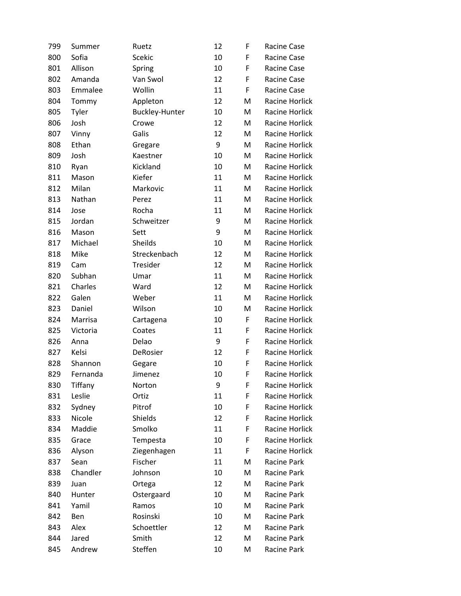| 799 | Summer   | Ruetz                 | 12 | F | <b>Racine Case</b>    |
|-----|----------|-----------------------|----|---|-----------------------|
| 800 | Sofia    | Scekic                | 10 | F | Racine Case           |
| 801 | Allison  | Spring                | 10 | F | Racine Case           |
| 802 | Amanda   | Van Swol              | 12 | F | Racine Case           |
| 803 | Emmalee  | Wollin                | 11 | F | Racine Case           |
| 804 | Tommy    | Appleton              | 12 | M | Racine Horlick        |
| 805 | Tyler    | <b>Buckley-Hunter</b> | 10 | M | Racine Horlick        |
| 806 | Josh     | Crowe                 | 12 | M | Racine Horlick        |
| 807 | Vinny    | Galis                 | 12 | M | Racine Horlick        |
| 808 | Ethan    | Gregare               | 9  | M | Racine Horlick        |
| 809 | Josh     | Kaestner              | 10 | M | Racine Horlick        |
| 810 | Ryan     | Kickland              | 10 | M | Racine Horlick        |
| 811 | Mason    | Kiefer                | 11 | M | Racine Horlick        |
| 812 | Milan    | Markovic              | 11 | M | Racine Horlick        |
| 813 | Nathan   | Perez                 | 11 | M | Racine Horlick        |
| 814 | Jose     | Rocha                 | 11 | M | Racine Horlick        |
| 815 | Jordan   | Schweitzer            | 9  | M | <b>Racine Horlick</b> |
| 816 | Mason    | Sett                  | 9  | M | Racine Horlick        |
| 817 | Michael  | Sheilds               | 10 | M | Racine Horlick        |
| 818 | Mike     | Streckenbach          | 12 | M | Racine Horlick        |
| 819 | Cam      | Tresider              | 12 | M | Racine Horlick        |
| 820 | Subhan   | Umar                  | 11 | M | Racine Horlick        |
| 821 | Charles  | Ward                  | 12 | M | Racine Horlick        |
| 822 | Galen    | Weber                 | 11 | M | Racine Horlick        |
| 823 | Daniel   | Wilson                | 10 | M | Racine Horlick        |
| 824 | Marrisa  | Cartagena             | 10 | F | Racine Horlick        |
| 825 | Victoria | Coates                | 11 | F | Racine Horlick        |
| 826 | Anna     | Delao                 | 9  | F | Racine Horlick        |
| 827 | Kelsi    | DeRosier              | 12 | F | <b>Racine Horlick</b> |
| 828 | Shannon  | Gegare                | 10 | F | Racine Horlick        |
| 829 | Fernanda | Jimenez               | 10 | F | Racine Horlick        |
| 830 | Tiffany  | Norton                | 9  | F | Racine Horlick        |
| 831 | Leslie   | Ortiz                 | 11 | F | Racine Horlick        |
| 832 | Sydney   | Pitrof                | 10 | F | Racine Horlick        |
| 833 | Nicole   | Shields               | 12 | F | Racine Horlick        |
| 834 | Maddie   | Smolko                | 11 | F | Racine Horlick        |
| 835 | Grace    | Tempesta              | 10 | F | Racine Horlick        |
| 836 | Alyson   | Ziegenhagen           | 11 | F | Racine Horlick        |
| 837 | Sean     | Fischer               | 11 | M | Racine Park           |
| 838 | Chandler | Johnson               | 10 | M | Racine Park           |
| 839 | Juan     | Ortega                | 12 | M | Racine Park           |
| 840 | Hunter   | Ostergaard            | 10 | M | Racine Park           |
| 841 | Yamil    | Ramos                 | 10 | M | Racine Park           |
| 842 | Ben      | Rosinski              | 10 | M | Racine Park           |
| 843 | Alex     | Schoettler            | 12 | M | Racine Park           |
| 844 | Jared    | Smith                 | 12 | M | Racine Park           |
| 845 | Andrew   | Steffen               | 10 | M | Racine Park           |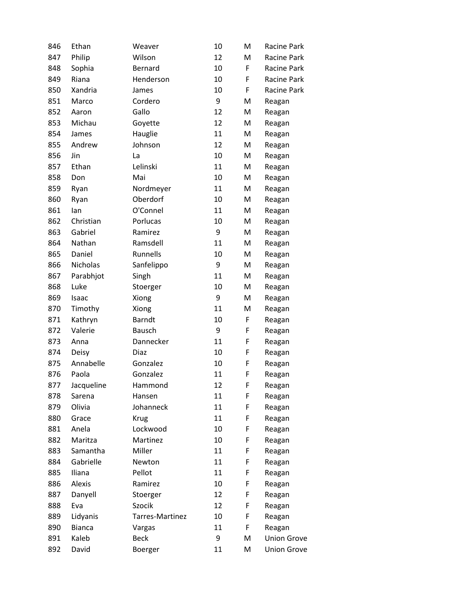| 846 | Ethan         | Weaver          | 10 | M | Racine Park        |
|-----|---------------|-----------------|----|---|--------------------|
| 847 | Philip        | Wilson          | 12 | M | Racine Park        |
| 848 | Sophia        | Bernard         | 10 | F | Racine Park        |
| 849 | Riana         | Henderson       | 10 | F | Racine Park        |
| 850 | Xandria       | James           | 10 | F | Racine Park        |
| 851 | Marco         | Cordero         | 9  | M | Reagan             |
| 852 | Aaron         | Gallo           | 12 | M | Reagan             |
| 853 | Michau        | Goyette         | 12 | M | Reagan             |
| 854 | James         | Hauglie         | 11 | M | Reagan             |
| 855 | Andrew        | Johnson         | 12 | M | Reagan             |
| 856 | Jin           | La              | 10 | M | Reagan             |
| 857 | Ethan         | Lelinski        | 11 | M | Reagan             |
| 858 | Don           | Mai             | 10 | M | Reagan             |
| 859 | Ryan          | Nordmeyer       | 11 | M | Reagan             |
| 860 | Ryan          | Oberdorf        | 10 | M | Reagan             |
| 861 | lan           | O'Connel        | 11 | M | Reagan             |
| 862 | Christian     | Porlucas        | 10 | M | Reagan             |
| 863 | Gabriel       | Ramirez         | 9  | M | Reagan             |
| 864 | Nathan        | Ramsdell        | 11 | M | Reagan             |
| 865 | Daniel        | Runnells        | 10 | M | Reagan             |
| 866 | Nicholas      | Sanfelippo      | 9  | M | Reagan             |
| 867 | Parabhjot     | Singh           | 11 | M | Reagan             |
| 868 | Luke          | Stoerger        | 10 | M | Reagan             |
| 869 | Isaac         | Xiong           | 9  | M | Reagan             |
| 870 | Timothy       | Xiong           | 11 | M | Reagan             |
| 871 | Kathryn       | <b>Barndt</b>   | 10 | F | Reagan             |
| 872 | Valerie       | Bausch          | 9  | F | Reagan             |
| 873 | Anna          | Dannecker       | 11 | F | Reagan             |
| 874 | Deisy         | Diaz            | 10 | F | Reagan             |
| 875 | Annabelle     | Gonzalez        | 10 | F | Reagan             |
| 876 | Paola         | Gonzalez        | 11 | F | Reagan             |
| 877 | Jacqueline    | Hammond         | 12 | F | Reagan             |
| 878 | Sarena        | Hansen          | 11 | F | Reagan             |
| 879 | Olivia        | Johanneck       | 11 | F | Reagan             |
| 880 | Grace         | <b>Krug</b>     | 11 | F | Reagan             |
| 881 | Anela         | Lockwood        | 10 | F | Reagan             |
| 882 | Maritza       | Martinez        | 10 | F | Reagan             |
| 883 | Samantha      | Miller          | 11 | F | Reagan             |
| 884 | Gabrielle     | Newton          | 11 | F | Reagan             |
| 885 | Iliana        | Pellot          | 11 | F | Reagan             |
| 886 | Alexis        | Ramirez         | 10 | F | Reagan             |
| 887 | Danyell       | Stoerger        | 12 | F | Reagan             |
| 888 | Eva           | Szocik          | 12 | F | Reagan             |
| 889 | Lidyanis      | Tarres-Martinez | 10 | F | Reagan             |
| 890 | <b>Bianca</b> | Vargas          | 11 | F | Reagan             |
| 891 | Kaleb         | <b>Beck</b>     | 9  | M | <b>Union Grove</b> |
| 892 | David         | Boerger         | 11 | M | <b>Union Grove</b> |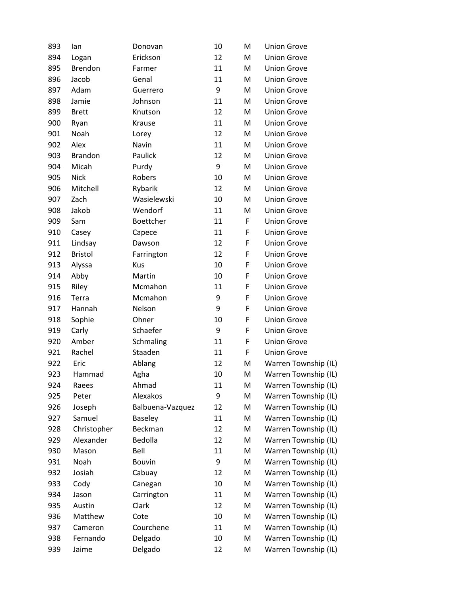| 893 | lan            | Donovan          | 10 | M                                                                                                          | <b>Union Grove</b>   |
|-----|----------------|------------------|----|------------------------------------------------------------------------------------------------------------|----------------------|
| 894 | Logan          | Erickson         | 12 | M                                                                                                          | <b>Union Grove</b>   |
| 895 | <b>Brendon</b> | Farmer           | 11 | M                                                                                                          | <b>Union Grove</b>   |
| 896 | Jacob          | Genal            | 11 | M                                                                                                          | <b>Union Grove</b>   |
| 897 | Adam           | Guerrero         | 9  | M                                                                                                          | <b>Union Grove</b>   |
| 898 | Jamie          | Johnson          | 11 | M                                                                                                          | <b>Union Grove</b>   |
| 899 | <b>Brett</b>   | Knutson          | 12 | M                                                                                                          | <b>Union Grove</b>   |
| 900 | Ryan           | Krause           | 11 | M                                                                                                          | <b>Union Grove</b>   |
| 901 | Noah           | Lorey            | 12 | M                                                                                                          | <b>Union Grove</b>   |
| 902 | Alex           | Navin            | 11 | M                                                                                                          | <b>Union Grove</b>   |
| 903 | <b>Brandon</b> | Paulick          | 12 | M                                                                                                          | <b>Union Grove</b>   |
| 904 | Micah          | Purdy            | 9  | M                                                                                                          | <b>Union Grove</b>   |
| 905 | <b>Nick</b>    | Robers           | 10 | M                                                                                                          | <b>Union Grove</b>   |
| 906 | Mitchell       | Rybarik          | 12 | M                                                                                                          | <b>Union Grove</b>   |
| 907 | Zach           | Wasielewski      | 10 | M                                                                                                          | <b>Union Grove</b>   |
| 908 | Jakob          | Wendorf          | 11 | M                                                                                                          | <b>Union Grove</b>   |
| 909 | Sam            | Boettcher        | 11 | F                                                                                                          | <b>Union Grove</b>   |
| 910 | Casey          | Capece           | 11 | F                                                                                                          | <b>Union Grove</b>   |
| 911 | Lindsay        | Dawson           | 12 | F                                                                                                          | <b>Union Grove</b>   |
| 912 | <b>Bristol</b> | Farrington       | 12 | F                                                                                                          | <b>Union Grove</b>   |
| 913 | Alyssa         | Kus              | 10 | F                                                                                                          | <b>Union Grove</b>   |
| 914 | Abby           | Martin           | 10 | F                                                                                                          | <b>Union Grove</b>   |
| 915 | Riley          | Mcmahon          | 11 | F                                                                                                          | <b>Union Grove</b>   |
| 916 | Terra          | Mcmahon          | 9  | F                                                                                                          | <b>Union Grove</b>   |
| 917 | Hannah         | Nelson           | 9  | F                                                                                                          | <b>Union Grove</b>   |
| 918 | Sophie         | Ohner            | 10 | F                                                                                                          | <b>Union Grove</b>   |
| 919 | Carly          | Schaefer         | 9  | F                                                                                                          | <b>Union Grove</b>   |
| 920 | Amber          | Schmaling        | 11 | F                                                                                                          | <b>Union Grove</b>   |
| 921 | Rachel         | Staaden          | 11 | F                                                                                                          | <b>Union Grove</b>   |
| 922 | Eric           | Ablang           | 12 | M                                                                                                          | Warren Township (IL) |
| 923 | Hammad         | Agha             | 10 | M                                                                                                          | Warren Township (IL) |
| 924 | Raees          | Ahmad            | 11 | M                                                                                                          | Warren Township (IL) |
| 925 | Peter          | Alexakos         | 9  | M                                                                                                          | Warren Township (IL) |
| 926 | Joseph         | Balbuena-Vazquez | 12 | M                                                                                                          | Warren Township (IL) |
| 927 | Samuel         | Baseley          | 11 | M                                                                                                          | Warren Township (IL) |
| 928 | Christopher    | Beckman          | 12 | M                                                                                                          | Warren Township (IL) |
| 929 | Alexander      | Bedolla          | 12 | M                                                                                                          | Warren Township (IL) |
| 930 | Mason          | Bell             | 11 | M                                                                                                          | Warren Township (IL) |
| 931 | Noah           | <b>Bouvin</b>    | 9  | M                                                                                                          | Warren Township (IL) |
| 932 | Josiah         | Cabuay           | 12 | M                                                                                                          | Warren Township (IL) |
| 933 | Cody           | Canegan          | 10 | M                                                                                                          | Warren Township (IL) |
| 934 | Jason          | Carrington       | 11 | M                                                                                                          | Warren Township (IL) |
| 935 | Austin         | Clark            | 12 | M                                                                                                          | Warren Township (IL) |
| 936 | Matthew        | Cote             | 10 | M                                                                                                          | Warren Township (IL) |
| 937 | Cameron        | Courchene        | 11 | $\mathsf{M}% _{T}=\mathsf{M}_{T}\!\left( a,b\right) ,\ \mathsf{M}_{T}=\mathsf{M}_{T}\!\left( a,b\right) ,$ | Warren Township (IL) |
| 938 | Fernando       | Delgado          | 10 | M                                                                                                          | Warren Township (IL) |
| 939 | Jaime          | Delgado          | 12 | M                                                                                                          | Warren Township (IL) |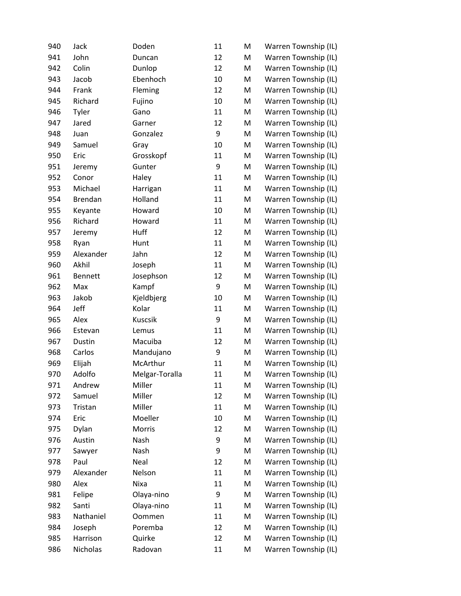| 940 | Jack           | Doden          | 11 | M | Warren Township (IL) |
|-----|----------------|----------------|----|---|----------------------|
| 941 | John           | Duncan         | 12 | M | Warren Township (IL) |
| 942 | Colin          | Dunlop         | 12 | M | Warren Township (IL) |
| 943 | Jacob          | Ebenhoch       | 10 | M | Warren Township (IL) |
| 944 | Frank          | Fleming        | 12 | M | Warren Township (IL) |
| 945 | Richard        | Fujino         | 10 | M | Warren Township (IL) |
| 946 | Tyler          | Gano           | 11 | M | Warren Township (IL) |
| 947 | Jared          | Garner         | 12 | M | Warren Township (IL) |
| 948 | Juan           | Gonzalez       | 9  | M | Warren Township (IL) |
| 949 | Samuel         | Gray           | 10 | M | Warren Township (IL) |
| 950 | Eric           | Grosskopf      | 11 | M | Warren Township (IL) |
| 951 | Jeremy         | Gunter         | 9  | M | Warren Township (IL) |
| 952 | Conor          | Haley          | 11 | M | Warren Township (IL) |
| 953 | Michael        | Harrigan       | 11 | M | Warren Township (IL) |
| 954 | <b>Brendan</b> | Holland        | 11 | M | Warren Township (IL) |
| 955 | Keyante        | Howard         | 10 | M | Warren Township (IL) |
| 956 | Richard        | Howard         | 11 | M | Warren Township (IL) |
| 957 | Jeremy         | Huff           | 12 | M | Warren Township (IL) |
| 958 | Ryan           | Hunt           | 11 | M | Warren Township (IL) |
| 959 | Alexander      | Jahn           | 12 | M | Warren Township (IL) |
| 960 | Akhil          | Joseph         | 11 | M | Warren Township (IL) |
| 961 | <b>Bennett</b> | Josephson      | 12 | M | Warren Township (IL) |
| 962 | Max            | Kampf          | 9  | M | Warren Township (IL) |
| 963 | Jakob          | Kjeldbjerg     | 10 | M | Warren Township (IL) |
| 964 | Jeff           | Kolar          | 11 | M | Warren Township (IL) |
| 965 | Alex           | Kuscsik        | 9  | M | Warren Township (IL) |
| 966 | Estevan        | Lemus          | 11 | M | Warren Township (IL) |
| 967 | Dustin         | Macuiba        | 12 | M | Warren Township (IL) |
| 968 | Carlos         | Mandujano      | 9  | M | Warren Township (IL) |
| 969 | Elijah         | McArthur       | 11 | M | Warren Township (IL) |
| 970 | Adolfo         | Melgar-Toralla | 11 | M | Warren Township (IL) |
| 971 | Andrew         | Miller         | 11 | M | Warren Township (IL) |
| 972 | Samuel         | Miller         | 12 | M | Warren Township (IL) |
| 973 | Tristan        | Miller         | 11 | M | Warren Township (IL) |
| 974 | Eric           | Moeller        | 10 | M | Warren Township (IL) |
| 975 | Dylan          | Morris         | 12 | M | Warren Township (IL) |
| 976 | Austin         | Nash           | 9  | M | Warren Township (IL) |
| 977 | Sawyer         | Nash           | 9  | M | Warren Township (IL) |
| 978 | Paul           | Neal           | 12 | M | Warren Township (IL) |
| 979 | Alexander      | Nelson         | 11 | M | Warren Township (IL) |
| 980 | Alex           | Nixa           | 11 | M | Warren Township (IL) |
| 981 | Felipe         | Olaya-nino     | 9  | M | Warren Township (IL) |
| 982 | Santi          | Olaya-nino     | 11 | M | Warren Township (IL) |
| 983 | Nathaniel      | Oommen         | 11 | M | Warren Township (IL) |
| 984 | Joseph         | Poremba        | 12 | M | Warren Township (IL) |
| 985 | Harrison       | Quirke         | 12 | M | Warren Township (IL) |
| 986 | Nicholas       | Radovan        | 11 | M | Warren Township (IL) |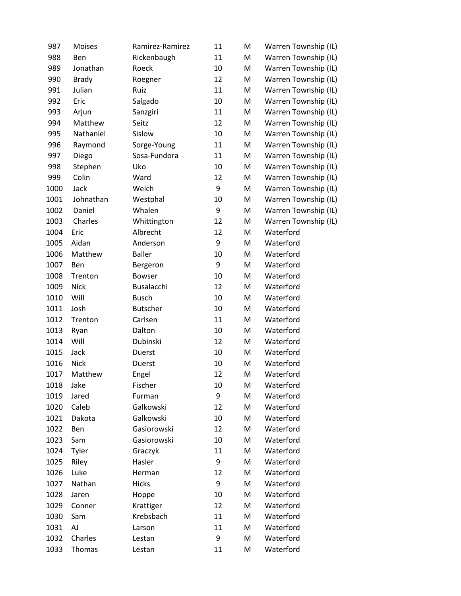| 987  | <b>Moises</b> | Ramirez-Ramirez | 11 | M | Warren Township (IL) |
|------|---------------|-----------------|----|---|----------------------|
| 988  | Ben           | Rickenbaugh     | 11 | M | Warren Township (IL) |
| 989  | Jonathan      | Roeck           | 10 | M | Warren Township (IL) |
| 990  | <b>Brady</b>  | Roegner         | 12 | M | Warren Township (IL) |
| 991  | Julian        | Ruiz            | 11 | M | Warren Township (IL) |
| 992  | Eric          | Salgado         | 10 | M | Warren Township (IL) |
| 993  | Arjun         | Sanzgiri        | 11 | M | Warren Township (IL) |
| 994  | Matthew       | Seitz           | 12 | M | Warren Township (IL) |
| 995  | Nathaniel     | Sislow          | 10 | M | Warren Township (IL) |
| 996  | Raymond       | Sorge-Young     | 11 | M | Warren Township (IL) |
| 997  | Diego         | Sosa-Fundora    | 11 | M | Warren Township (IL) |
| 998  | Stephen       | Uko             | 10 | M | Warren Township (IL) |
| 999  | Colin         | Ward            | 12 | M | Warren Township (IL) |
| 1000 | Jack          | Welch           | 9  | M | Warren Township (IL) |
| 1001 | Johnathan     | Westphal        | 10 | M | Warren Township (IL) |
| 1002 | Daniel        | Whalen          | 9  | M | Warren Township (IL) |
| 1003 | Charles       | Whittington     | 12 | M | Warren Township (IL) |
| 1004 | Eric          | Albrecht        | 12 | M | Waterford            |
| 1005 | Aidan         | Anderson        | 9  | M | Waterford            |
| 1006 | Matthew       | <b>Baller</b>   | 10 | M | Waterford            |
| 1007 | Ben           | Bergeron        | 9  | M | Waterford            |
| 1008 | Trenton       | <b>Bowser</b>   | 10 | M | Waterford            |
| 1009 | Nick          | Busalacchi      | 12 | M | Waterford            |
| 1010 | Will          | <b>Busch</b>    | 10 | M | Waterford            |
| 1011 | Josh          | <b>Butscher</b> | 10 | M | Waterford            |
| 1012 | Trenton       | Carlsen         | 11 | M | Waterford            |
| 1013 | Ryan          | Dalton          | 10 | M | Waterford            |
| 1014 | Will          | Dubinski        | 12 | M | Waterford            |
| 1015 | Jack          | Duerst          | 10 | M | Waterford            |
| 1016 | <b>Nick</b>   | <b>Duerst</b>   | 10 | M | Waterford            |
| 1017 | Matthew       | Engel           | 12 | M | Waterford            |
| 1018 | Jake          | Fischer         | 10 | M | Waterford            |
| 1019 | Jared         | Furman          | 9  | M | Waterford            |
| 1020 | Caleb         | Galkowski       | 12 | M | Waterford            |
| 1021 | Dakota        | Galkowski       | 10 | M | Waterford            |
| 1022 | Ben           | Gasiorowski     | 12 | M | Waterford            |
| 1023 | Sam           | Gasiorowski     | 10 | M | Waterford            |
| 1024 | Tyler         | Graczyk         | 11 | M | Waterford            |
| 1025 | Riley         | Hasler          | 9  | M | Waterford            |
| 1026 | Luke          | Herman          | 12 | M | Waterford            |
| 1027 | Nathan        | Hicks           | 9  | M | Waterford            |
| 1028 | Jaren         | Hoppe           | 10 | M | Waterford            |
| 1029 | Conner        | Krattiger       | 12 | M | Waterford            |
| 1030 | Sam           | Krebsbach       | 11 | M | Waterford            |
| 1031 | AJ            | Larson          | 11 | M | Waterford            |
| 1032 | Charles       | Lestan          | 9  | M | Waterford            |
| 1033 | Thomas        | Lestan          | 11 | M | Waterford            |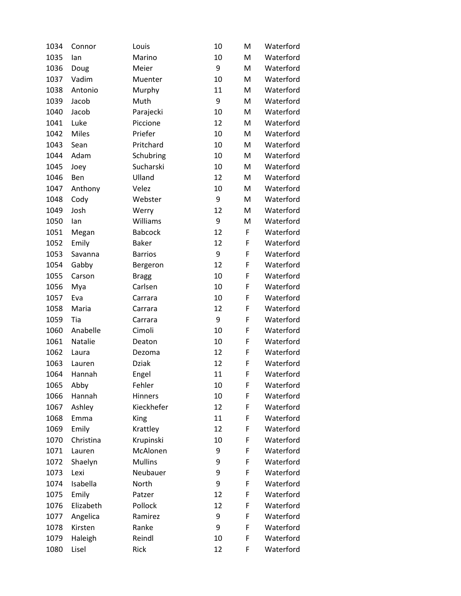| 1034 | Connor       | Louis          | 10 | M | Waterford |
|------|--------------|----------------|----|---|-----------|
| 1035 | lan          | Marino         | 10 | M | Waterford |
| 1036 | Doug         | Meier          | 9  | M | Waterford |
| 1037 | Vadim        | Muenter        | 10 | M | Waterford |
| 1038 | Antonio      | Murphy         | 11 | M | Waterford |
| 1039 | Jacob        | Muth           | 9  | M | Waterford |
| 1040 | Jacob        | Parajecki      | 10 | M | Waterford |
| 1041 | Luke         | Piccione       | 12 | M | Waterford |
| 1042 | <b>Miles</b> | Priefer        | 10 | M | Waterford |
| 1043 | Sean         | Pritchard      | 10 | M | Waterford |
| 1044 | Adam         | Schubring      | 10 | M | Waterford |
| 1045 | Joey         | Sucharski      | 10 | M | Waterford |
| 1046 | Ben          | Ulland         | 12 | M | Waterford |
| 1047 | Anthony      | Velez          | 10 | M | Waterford |
| 1048 | Cody         | Webster        | 9  | M | Waterford |
| 1049 | Josh         | Werry          | 12 | M | Waterford |
| 1050 | lan          | Williams       | 9  | M | Waterford |
| 1051 | Megan        | <b>Babcock</b> | 12 | F | Waterford |
| 1052 | Emily        | <b>Baker</b>   | 12 | F | Waterford |
| 1053 | Savanna      | <b>Barrios</b> | 9  | F | Waterford |
| 1054 | Gabby        | Bergeron       | 12 | F | Waterford |
| 1055 | Carson       | <b>Bragg</b>   | 10 | F | Waterford |
| 1056 | Mya          | Carlsen        | 10 | F | Waterford |
| 1057 | Eva          | Carrara        | 10 | F | Waterford |
| 1058 | Maria        | Carrara        | 12 | F | Waterford |
| 1059 | Tia          | Carrara        | 9  | F | Waterford |
| 1060 | Anabelle     | Cimoli         | 10 | F | Waterford |
| 1061 | Natalie      | Deaton         | 10 | F | Waterford |
| 1062 | Laura        | Dezoma         | 12 | F | Waterford |
| 1063 | Lauren       | <b>Dziak</b>   | 12 | F | Waterford |
| 1064 | Hannah       | Engel          | 11 | F | Waterford |
| 1065 | Abby         | Fehler         | 10 | F | Waterford |
| 1066 | Hannah       | <b>Hinners</b> | 10 | F | Waterford |
| 1067 | Ashley       | Kieckhefer     | 12 | F | Waterford |
| 1068 | Emma         | King           | 11 | F | Waterford |
| 1069 | Emily        | Krattley       | 12 | F | Waterford |
| 1070 | Christina    | Krupinski      | 10 | F | Waterford |
| 1071 | Lauren       | McAlonen       | 9  | F | Waterford |
| 1072 | Shaelyn      | <b>Mullins</b> | 9  | F | Waterford |
| 1073 | Lexi         | Neubauer       | 9  | F | Waterford |
| 1074 | Isabella     | North          | 9  | F | Waterford |
| 1075 | Emily        | Patzer         | 12 | F | Waterford |
| 1076 | Elizabeth    | Pollock        | 12 | F | Waterford |
| 1077 | Angelica     | Ramirez        | 9  | F | Waterford |
| 1078 | Kirsten      | Ranke          | 9  | F | Waterford |
| 1079 | Haleigh      | Reindl         | 10 | F | Waterford |
| 1080 | Lisel        | Rick           | 12 | F | Waterford |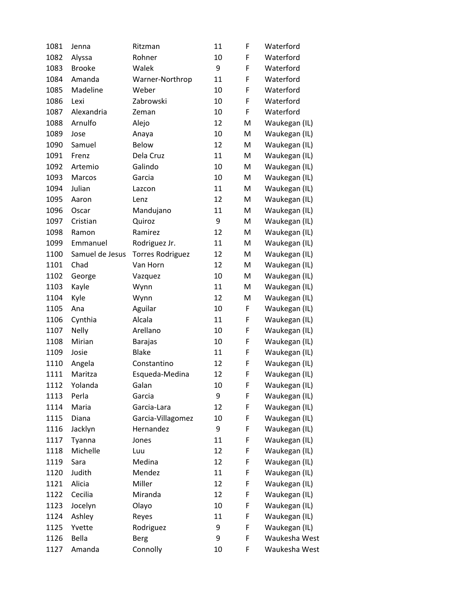| 1081 | Jenna           | Ritzman                 | 11 | F | Waterford     |
|------|-----------------|-------------------------|----|---|---------------|
| 1082 | Alyssa          | Rohner                  | 10 | F | Waterford     |
| 1083 | <b>Brooke</b>   | Walek                   | 9  | F | Waterford     |
| 1084 | Amanda          | Warner-Northrop         | 11 | F | Waterford     |
| 1085 | Madeline        | Weber                   | 10 | F | Waterford     |
| 1086 | Lexi            | Zabrowski               | 10 | F | Waterford     |
| 1087 | Alexandria      | Zeman                   | 10 | F | Waterford     |
| 1088 | Arnulfo         | Alejo                   | 12 | M | Waukegan (IL) |
| 1089 | Jose            | Anaya                   | 10 | M | Waukegan (IL) |
| 1090 | Samuel          | Below                   | 12 | M | Waukegan (IL) |
| 1091 | Frenz           | Dela Cruz               | 11 | M | Waukegan (IL) |
| 1092 | Artemio         | Galindo                 | 10 | M | Waukegan (IL) |
| 1093 | Marcos          | Garcia                  | 10 | M | Waukegan (IL) |
| 1094 | Julian          | Lazcon                  | 11 | M | Waukegan (IL) |
| 1095 | Aaron           | Lenz                    | 12 | M | Waukegan (IL) |
| 1096 | Oscar           | Mandujano               | 11 | M | Waukegan (IL) |
| 1097 | Cristian        | Quiroz                  | 9  | M | Waukegan (IL) |
| 1098 | Ramon           | Ramirez                 | 12 | M | Waukegan (IL) |
| 1099 | Emmanuel        | Rodriguez Jr.           | 11 | M | Waukegan (IL) |
| 1100 | Samuel de Jesus | <b>Torres Rodriguez</b> | 12 | M | Waukegan (IL) |
| 1101 | Chad            | Van Horn                | 12 | M | Waukegan (IL) |
| 1102 | George          | Vazquez                 | 10 | M | Waukegan (IL) |
| 1103 | Kayle           | Wynn                    | 11 | M | Waukegan (IL) |
| 1104 | Kyle            | Wynn                    | 12 | M | Waukegan (IL) |
| 1105 | Ana             | Aguilar                 | 10 | F | Waukegan (IL) |
| 1106 | Cynthia         | Alcala                  | 11 | F | Waukegan (IL) |
| 1107 | <b>Nelly</b>    | Arellano                | 10 | F | Waukegan (IL) |
| 1108 | Mirian          | <b>Barajas</b>          | 10 | F | Waukegan (IL) |
| 1109 | Josie           | <b>Blake</b>            | 11 | F | Waukegan (IL) |
| 1110 | Angela          | Constantino             | 12 | F | Waukegan (IL) |
| 1111 | Maritza         | Esqueda-Medina          | 12 | F | Waukegan (IL) |
| 1112 | Yolanda         | Galan                   | 10 | F | Waukegan (IL) |
| 1113 | Perla           | Garcia                  | 9  | F | Waukegan (IL) |
| 1114 | Maria           | Garcia-Lara             | 12 | F | Waukegan (IL) |
| 1115 | Diana           | Garcia-Villagomez       | 10 | F | Waukegan (IL) |
| 1116 | Jacklyn         | Hernandez               | 9  | F | Waukegan (IL) |
| 1117 | Tyanna          | Jones                   | 11 | F | Waukegan (IL) |
| 1118 | Michelle        | Luu                     | 12 | F | Waukegan (IL) |
| 1119 | Sara            | Medina                  | 12 | F | Waukegan (IL) |
| 1120 | Judith          | Mendez                  | 11 | F | Waukegan (IL) |
| 1121 | Alicia          | Miller                  | 12 | F | Waukegan (IL) |
| 1122 | Cecilia         | Miranda                 | 12 | F | Waukegan (IL) |
| 1123 | Jocelyn         | Olayo                   | 10 | F | Waukegan (IL) |
| 1124 | Ashley          | Reyes                   | 11 | F | Waukegan (IL) |
| 1125 | Yvette          | Rodriguez               | 9  | F | Waukegan (IL) |
| 1126 | Bella           | <b>Berg</b>             | 9  | F | Waukesha West |
| 1127 | Amanda          | Connolly                | 10 | F | Waukesha West |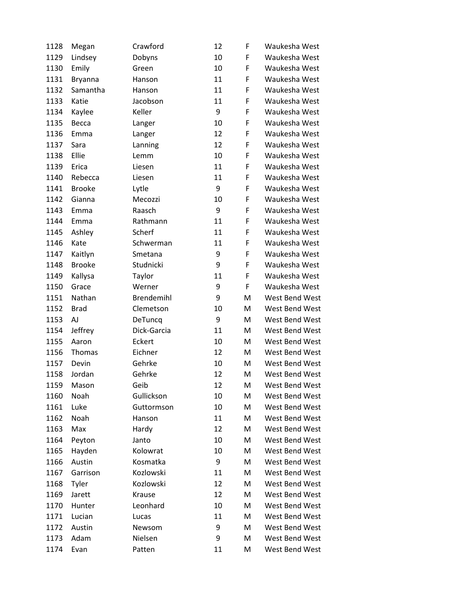| 1128 | Megan         | Crawford          | 12 | F | Waukesha West  |
|------|---------------|-------------------|----|---|----------------|
| 1129 | Lindsey       | Dobyns            | 10 | F | Waukesha West  |
| 1130 | Emily         | Green             | 10 | F | Waukesha West  |
| 1131 | Bryanna       | Hanson            | 11 | F | Waukesha West  |
| 1132 | Samantha      | Hanson            | 11 | F | Waukesha West  |
| 1133 | Katie         | Jacobson          | 11 | F | Waukesha West  |
| 1134 | Kaylee        | Keller            | 9  | F | Waukesha West  |
| 1135 | Becca         | Langer            | 10 | F | Waukesha West  |
| 1136 | Emma          | Langer            | 12 | F | Waukesha West  |
| 1137 | Sara          | Lanning           | 12 | F | Waukesha West  |
| 1138 | Ellie         | Lemm              | 10 | F | Waukesha West  |
| 1139 | Erica         | Liesen            | 11 | F | Waukesha West  |
| 1140 | Rebecca       | Liesen            | 11 | F | Waukesha West  |
| 1141 | <b>Brooke</b> | Lytle             | 9  | F | Waukesha West  |
| 1142 | Gianna        | Mecozzi           | 10 | F | Waukesha West  |
| 1143 | Emma          | Raasch            | 9  | F | Waukesha West  |
| 1144 | Emma          | Rathmann          | 11 | F | Waukesha West  |
| 1145 | Ashley        | Scherf            | 11 | F | Waukesha West  |
| 1146 | Kate          | Schwerman         | 11 | F | Waukesha West  |
| 1147 | Kaitlyn       | Smetana           | 9  | F | Waukesha West  |
| 1148 | <b>Brooke</b> | Studnicki         | 9  | F | Waukesha West  |
| 1149 | Kallysa       | Taylor            | 11 | F | Waukesha West  |
| 1150 | Grace         | Werner            | 9  | F | Waukesha West  |
| 1151 | Nathan        | <b>Brendemihl</b> | 9  | M | West Bend West |
| 1152 | <b>Brad</b>   | Clemetson         | 10 | M | West Bend West |
| 1153 | AJ            | DeTuncq           | 9  | M | West Bend West |
| 1154 | Jeffrey       | Dick-Garcia       | 11 | M | West Bend West |
| 1155 | Aaron         | Eckert            | 10 | M | West Bend West |
| 1156 | <b>Thomas</b> | Eichner           | 12 | M | West Bend West |
| 1157 | Devin         | Gehrke            | 10 | M | West Bend West |
| 1158 | Jordan        | Gehrke            | 12 | M | West Bend West |
| 1159 | Mason         | Geib              | 12 | M | West Bend West |
| 1160 | Noah          | Gullickson        | 10 | M | West Bend West |
| 1161 | Luke          | Guttormson        | 10 | M | West Bend West |
| 1162 | Noah          | Hanson            | 11 | M | West Bend West |
| 1163 | Max           | Hardy             | 12 | M | West Bend West |
| 1164 | Peyton        | Janto             | 10 | M | West Bend West |
| 1165 | Hayden        | Kolowrat          | 10 | M | West Bend West |
| 1166 | Austin        | Kosmatka          | 9  | M | West Bend West |
| 1167 | Garrison      | Kozlowski         | 11 | M | West Bend West |
| 1168 | Tyler         | Kozlowski         | 12 | M | West Bend West |
| 1169 | Jarett        | Krause            | 12 | M | West Bend West |
| 1170 | Hunter        | Leonhard          | 10 | M | West Bend West |
| 1171 | Lucian        | Lucas             | 11 | M | West Bend West |
| 1172 | Austin        | Newsom            | 9  | M | West Bend West |
| 1173 | Adam          | Nielsen           | 9  | M | West Bend West |
| 1174 | Evan          | Patten            | 11 | M | West Bend West |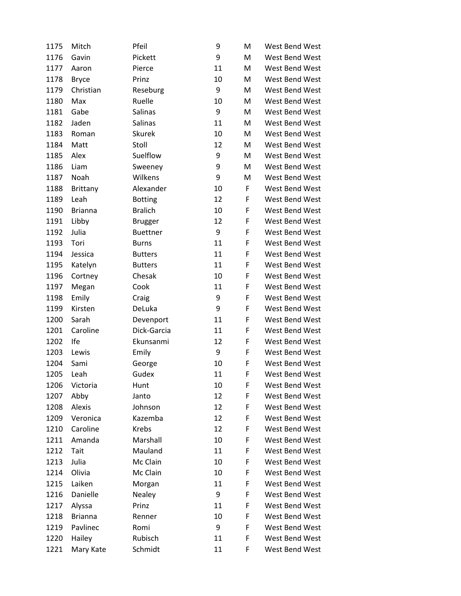| 1175 | Mitch          | Pfeil           | 9  | M | West Bend West |
|------|----------------|-----------------|----|---|----------------|
| 1176 | Gavin          | Pickett         | 9  | M | West Bend West |
| 1177 | Aaron          | Pierce          | 11 | M | West Bend West |
| 1178 | <b>Bryce</b>   | Prinz           | 10 | M | West Bend West |
| 1179 | Christian      | Reseburg        | 9  | M | West Bend West |
| 1180 | Max            | Ruelle          | 10 | M | West Bend West |
| 1181 | Gabe           | Salinas         | 9  | M | West Bend West |
| 1182 | Jaden          | Salinas         | 11 | M | West Bend West |
| 1183 | Roman          | <b>Skurek</b>   | 10 | M | West Bend West |
| 1184 | Matt           | Stoll           | 12 | M | West Bend West |
| 1185 | Alex           | Suelflow        | 9  | M | West Bend West |
| 1186 | Liam           | Sweeney         | 9  | M | West Bend West |
| 1187 | Noah           | Wilkens         | 9  | M | West Bend West |
| 1188 | Brittany       | Alexander       | 10 | F | West Bend West |
| 1189 | Leah           | <b>Botting</b>  | 12 | F | West Bend West |
| 1190 | <b>Brianna</b> | <b>Bralich</b>  | 10 | F | West Bend West |
| 1191 | Libby          | <b>Brugger</b>  | 12 | F | West Bend West |
| 1192 | Julia          | <b>Buettner</b> | 9  | F | West Bend West |
| 1193 | Tori           | <b>Burns</b>    | 11 | F | West Bend West |
| 1194 | Jessica        | <b>Butters</b>  | 11 | F | West Bend West |
| 1195 | Katelyn        | <b>Butters</b>  | 11 | F | West Bend West |
| 1196 | Cortney        | Chesak          | 10 | F | West Bend West |
| 1197 | Megan          | Cook            | 11 | F | West Bend West |
| 1198 | Emily          | Craig           | 9  | F | West Bend West |
| 1199 | Kirsten        | DeLuka          | 9  | F | West Bend West |
| 1200 | Sarah          | Devenport       | 11 | F | West Bend West |
| 1201 | Caroline       | Dick-Garcia     | 11 | F | West Bend West |
| 1202 | Ife            | Ekunsanmi       | 12 | F | West Bend West |
| 1203 | Lewis          | Emily           | 9  | F | West Bend West |
| 1204 | Sami           | George          | 10 | F | West Bend West |
| 1205 | Leah           | Gudex           | 11 | F | West Bend West |
| 1206 | Victoria       | Hunt            | 10 | F | West Bend West |
| 1207 | Abby           | Janto           | 12 | F | West Bend West |
| 1208 | Alexis         | Johnson         | 12 | F | West Bend West |
| 1209 | Veronica       | Kazemba         | 12 | F | West Bend West |
| 1210 | Caroline       | <b>Krebs</b>    | 12 | F | West Bend West |
| 1211 | Amanda         | Marshall        | 10 | F | West Bend West |
| 1212 | Tait           | Mauland         | 11 | F | West Bend West |
| 1213 | Julia          | Mc Clain        | 10 | F | West Bend West |
| 1214 | Olivia         | Mc Clain        | 10 | F | West Bend West |
| 1215 | Laiken         | Morgan          | 11 | F | West Bend West |
| 1216 | Danielle       | Nealey          | 9  | F | West Bend West |
| 1217 | Alyssa         | Prinz           | 11 | F | West Bend West |
| 1218 | <b>Brianna</b> | Renner          | 10 | F | West Bend West |
| 1219 | Pavlinec       | Romi            | 9  | F | West Bend West |
| 1220 | Hailey         | Rubisch         | 11 | F | West Bend West |
| 1221 | Mary Kate      | Schmidt         | 11 | F | West Bend West |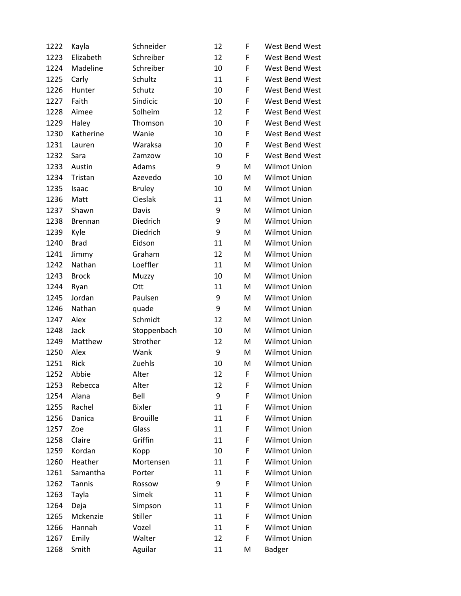| 1222 | Kayla          | Schneider       | 12 | F | West Bend West      |
|------|----------------|-----------------|----|---|---------------------|
| 1223 | Elizabeth      | Schreiber       | 12 | F | West Bend West      |
| 1224 | Madeline       | Schreiber       | 10 | F | West Bend West      |
| 1225 | Carly          | Schultz         | 11 | F | West Bend West      |
| 1226 | Hunter         | Schutz          | 10 | F | West Bend West      |
| 1227 | Faith          | Sindicic        | 10 | F | West Bend West      |
| 1228 | Aimee          | Solheim         | 12 | F | West Bend West      |
| 1229 | Haley          | Thomson         | 10 | F | West Bend West      |
| 1230 | Katherine      | Wanie           | 10 | F | West Bend West      |
| 1231 | Lauren         | Waraksa         | 10 | F | West Bend West      |
| 1232 | Sara           | Zamzow          | 10 | F | West Bend West      |
| 1233 | Austin         | Adams           | 9  | M | <b>Wilmot Union</b> |
| 1234 | Tristan        | Azevedo         | 10 | M | <b>Wilmot Union</b> |
| 1235 | Isaac          | <b>Bruley</b>   | 10 | M | Wilmot Union        |
| 1236 | Matt           | Cieslak         | 11 | M | <b>Wilmot Union</b> |
| 1237 | Shawn          | Davis           | 9  | M | <b>Wilmot Union</b> |
| 1238 | <b>Brennan</b> | Diedrich        | 9  | M | Wilmot Union        |
| 1239 | Kyle           | Diedrich        | 9  | M | <b>Wilmot Union</b> |
| 1240 | <b>Brad</b>    | Eidson          | 11 | M | Wilmot Union        |
| 1241 | Jimmy          | Graham          | 12 | M | <b>Wilmot Union</b> |
| 1242 | Nathan         | Loeffler        | 11 | M | <b>Wilmot Union</b> |
| 1243 | <b>Brock</b>   | Muzzy           | 10 | M | Wilmot Union        |
| 1244 | Ryan           | Ott             | 11 | M | Wilmot Union        |
| 1245 | Jordan         | Paulsen         | 9  | M | Wilmot Union        |
| 1246 | Nathan         | quade           | 9  | M | <b>Wilmot Union</b> |
| 1247 | Alex           | Schmidt         | 12 | M | Wilmot Union        |
| 1248 | Jack           | Stoppenbach     | 10 | M | <b>Wilmot Union</b> |
| 1249 | Matthew        | Strother        | 12 | M | <b>Wilmot Union</b> |
| 1250 | Alex           | Wank            | 9  | M | Wilmot Union        |
| 1251 | Rick           | Zuehls          | 10 | M | <b>Wilmot Union</b> |
| 1252 | Abbie          | Alter           | 12 | F | <b>Wilmot Union</b> |
| 1253 | Rebecca        | Alter           | 12 | F | Wilmot Union        |
| 1254 | Alana          | Bell            | 9  | F | <b>Wilmot Union</b> |
| 1255 | Rachel         | <b>Bixler</b>   | 11 | F | <b>Wilmot Union</b> |
| 1256 | Danica         | <b>Brouille</b> | 11 | F | <b>Wilmot Union</b> |
| 1257 | Zoe            | Glass           | 11 | F | Wilmot Union        |
| 1258 | Claire         | Griffin         | 11 | F | <b>Wilmot Union</b> |
| 1259 | Kordan         | Kopp            | 10 | F | <b>Wilmot Union</b> |
| 1260 | Heather        | Mortensen       | 11 | F | <b>Wilmot Union</b> |
| 1261 | Samantha       | Porter          | 11 | F | Wilmot Union        |
| 1262 | Tannis         | Rossow          | 9  | F | <b>Wilmot Union</b> |
| 1263 | Tayla          | Simek           | 11 | F | <b>Wilmot Union</b> |
| 1264 | Deja           | Simpson         | 11 | F | Wilmot Union        |
| 1265 | Mckenzie       | <b>Stiller</b>  | 11 | F | Wilmot Union        |
| 1266 | Hannah         | Vozel           | 11 | F | <b>Wilmot Union</b> |
| 1267 | Emily          | Walter          | 12 | F | <b>Wilmot Union</b> |
| 1268 | Smith          | Aguilar         | 11 | M | Badger              |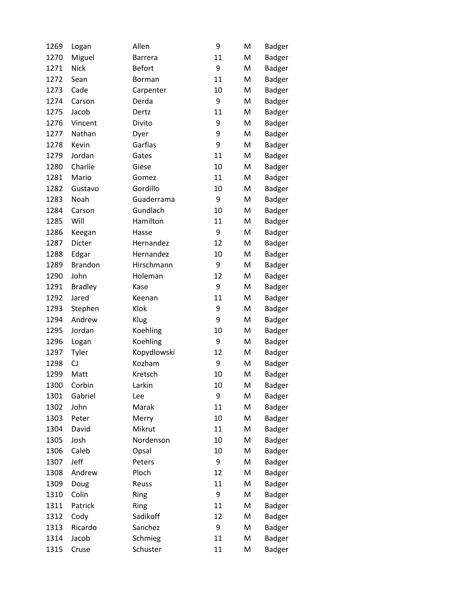| 1269 | Logan          | Allen          | 9  | M | <b>Badger</b> |
|------|----------------|----------------|----|---|---------------|
| 1270 | Miguel         | <b>Barrera</b> | 11 | M | Badger        |
| 1271 | <b>Nick</b>    | <b>Befort</b>  | 9  | M | <b>Badger</b> |
| 1272 | Sean           | Borman         | 11 | M | Badger        |
| 1273 | Cade           | Carpenter      | 10 | M | <b>Badger</b> |
| 1274 | Carson         | Derda          | 9  | M | Badger        |
| 1275 | Jacob          | Dertz          | 11 | M | Badger        |
| 1276 | Vincent        | Divito         | 9  | M | <b>Badger</b> |
| 1277 | Nathan         | Dyer           | 9  | M | <b>Badger</b> |
| 1278 | Kevin          | Garfias        | 9  | M | <b>Badger</b> |
| 1279 | Jordan         | Gates          | 11 | M | Badger        |
| 1280 | Charlie        | Giese          | 10 | M | Badger        |
| 1281 | Mario          | Gomez          | 11 | M | <b>Badger</b> |
| 1282 | Gustavo        | Gordillo       | 10 | M | <b>Badger</b> |
| 1283 | Noah           | Guaderrama     | 9  | M | <b>Badger</b> |
| 1284 | Carson         | Gundlach       | 10 | M | <b>Badger</b> |
| 1285 | Will           | Hamilton       | 11 | M | <b>Badger</b> |
| 1286 | Keegan         | Hasse          | 9  | M | Badger        |
| 1287 | Dicter         | Hernandez      | 12 | M | <b>Badger</b> |
| 1288 | Edgar          | Hernandez      | 10 | M | <b>Badger</b> |
| 1289 | <b>Brandon</b> | Hirschmann     | 9  | M | Badger        |
| 1290 | John           | Holeman        | 12 | M | <b>Badger</b> |
| 1291 | <b>Bradley</b> | Kase           | 9  | M | <b>Badger</b> |
| 1292 | Jared          | Keenan         | 11 | M | <b>Badger</b> |
| 1293 | Stephen        | Klok           | 9  | M | <b>Badger</b> |
| 1294 | Andrew         | Klug           | 9  | M | Badger        |
| 1295 | Jordan         | Koehling       | 10 | M | <b>Badger</b> |
| 1296 | Logan          | Koehling       | 9  | M | <b>Badger</b> |
| 1297 | Tyler          | Kopydlowski    | 12 | M | <b>Badger</b> |
| 1298 | CJ             | Kozham         | 9  | M | <b>Badger</b> |
| 1299 | Matt           | Kretsch        | 10 | M | <b>Badger</b> |
| 1300 | Corbin         | Larkin         | 10 | M | <b>Badger</b> |
| 1301 | Gabriel        | Lee            | 9  | M | <b>Badger</b> |
| 1302 | John           | Marak          | 11 | M | <b>Badger</b> |
| 1303 | Peter          | Merry          | 10 | M | Badger        |
| 1304 | David          | Mikrut         | 11 | M | <b>Badger</b> |
| 1305 | Josh           | Nordenson      | 10 | M | Badger        |
| 1306 | Caleb          | Opsal          | 10 | M | Badger        |
| 1307 | Jeff           | Peters         | 9  | M | Badger        |
| 1308 | Andrew         | Ploch          | 12 | M | <b>Badger</b> |
| 1309 | Doug           | Reuss          | 11 | M | <b>Badger</b> |
| 1310 | Colin          | Ring           | 9  | M | Badger        |
| 1311 | Patrick        | Ring           | 11 | M | <b>Badger</b> |
| 1312 | Cody           | Sadikoff       | 12 | M | Badger        |
| 1313 | Ricardo        | Sanchez        | 9  | M | Badger        |
| 1314 | Jacob          | Schmieg        | 11 | M | <b>Badger</b> |
| 1315 | Cruse          | Schuster       | 11 | M | Badger        |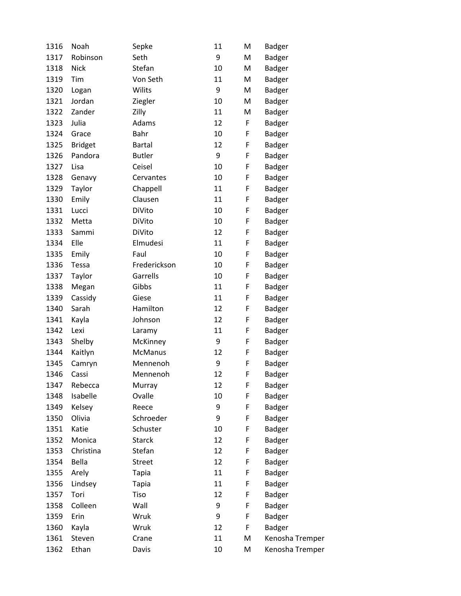| 1316 | Noah           | Sepke          | 11 | M | Badger          |
|------|----------------|----------------|----|---|-----------------|
| 1317 | Robinson       | Seth           | 9  | M | Badger          |
| 1318 | <b>Nick</b>    | Stefan         | 10 | M | <b>Badger</b>   |
| 1319 | Tim            | Von Seth       | 11 | M | <b>Badger</b>   |
| 1320 | Logan          | Wilits         | 9  | M | <b>Badger</b>   |
| 1321 | Jordan         | Ziegler        | 10 | M | Badger          |
| 1322 | Zander         | Zilly          | 11 | M | Badger          |
| 1323 | Julia          | Adams          | 12 | F | Badger          |
| 1324 | Grace          | Bahr           | 10 | F | Badger          |
| 1325 | <b>Bridget</b> | <b>Bartal</b>  | 12 | F | <b>Badger</b>   |
| 1326 | Pandora        | <b>Butler</b>  | 9  | F | <b>Badger</b>   |
| 1327 | Lisa           | Ceisel         | 10 | F | <b>Badger</b>   |
| 1328 | Genavy         | Cervantes      | 10 | F | Badger          |
| 1329 | Taylor         | Chappell       | 11 | F | <b>Badger</b>   |
| 1330 | Emily          | Clausen        | 11 | F | <b>Badger</b>   |
| 1331 | Lucci          | DiVito         | 10 | F | <b>Badger</b>   |
| 1332 | Metta          | DiVito         | 10 | F | <b>Badger</b>   |
| 1333 | Sammi          | DiVito         | 12 | F | Badger          |
| 1334 | Elle           | Elmudesi       | 11 | F | <b>Badger</b>   |
| 1335 | Emily          | Faul           | 10 | F | <b>Badger</b>   |
| 1336 | Tessa          | Frederickson   | 10 | F | Badger          |
| 1337 | Taylor         | Garrells       | 10 | F | <b>Badger</b>   |
| 1338 | Megan          | Gibbs          | 11 | F | Badger          |
| 1339 | Cassidy        | Giese          | 11 | F | <b>Badger</b>   |
| 1340 | Sarah          | Hamilton       | 12 | F | Badger          |
| 1341 | Kayla          | Johnson        | 12 | F | Badger          |
| 1342 | Lexi           | Laramy         | 11 | F | <b>Badger</b>   |
| 1343 | Shelby         | McKinney       | 9  | F | Badger          |
| 1344 | Kaitlyn        | <b>McManus</b> | 12 | F | <b>Badger</b>   |
| 1345 | Camryn         | Mennenoh       | 9  | F | Badger          |
| 1346 | Cassi          | Mennenoh       | 12 | F | <b>Badger</b>   |
| 1347 | Rebecca        | Murray         | 12 | F | Badger          |
| 1348 | Isabelle       | Ovalle         | 10 | F | Badger          |
| 1349 | Kelsey         | Reece          | 9  | F | Badger          |
| 1350 | Olivia         | Schroeder      | 9  | F | Badger          |
| 1351 | Katie          | Schuster       | 10 | F | Badger          |
| 1352 | Monica         | <b>Starck</b>  | 12 | F | Badger          |
| 1353 | Christina      | Stefan         | 12 | F | <b>Badger</b>   |
| 1354 | Bella          | <b>Street</b>  | 12 | F | Badger          |
| 1355 | Arely          | <b>Tapia</b>   | 11 | F | <b>Badger</b>   |
| 1356 | Lindsey        | <b>Tapia</b>   | 11 | F | Badger          |
| 1357 | Tori           | Tiso           | 12 | F | Badger          |
| 1358 | Colleen        | Wall           | 9  | F | <b>Badger</b>   |
| 1359 | Erin           | Wruk           | 9  | F | Badger          |
| 1360 | Kayla          | Wruk           | 12 | F | Badger          |
| 1361 | Steven         | Crane          | 11 | M | Kenosha Tremper |
| 1362 | Ethan          | Davis          | 10 | M | Kenosha Tremper |